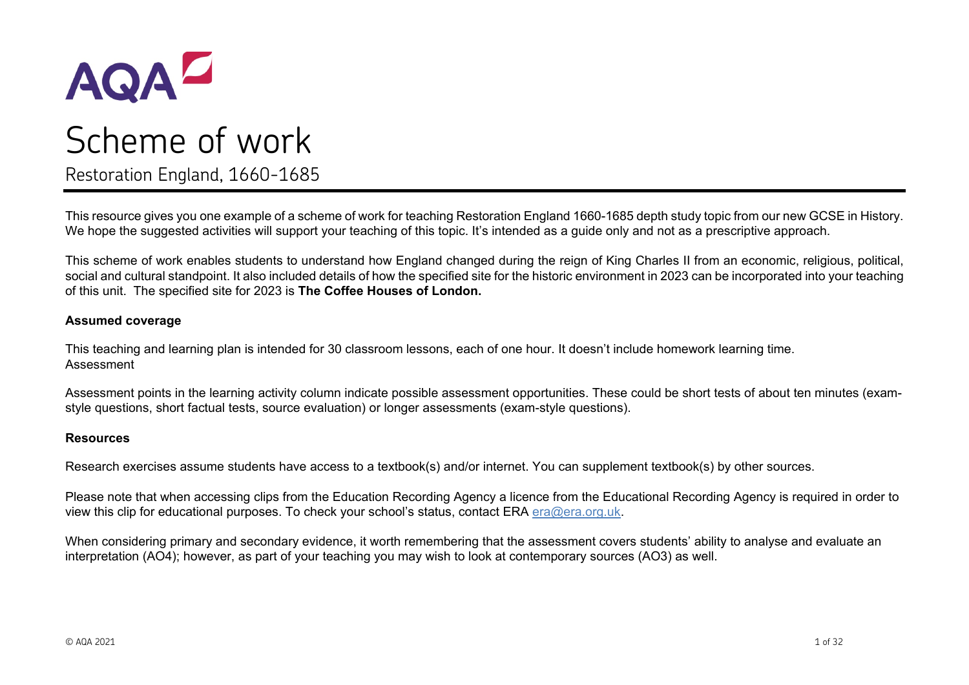

# Scheme of work Restoration England, 1660-1685

This resource gives you one example of a scheme of work for teaching Restoration England 1660-1685 depth study topic from our new GCSE in History. We hope the suggested activities will support your teaching of this topic. It's intended as a guide only and not as a prescriptive approach.

This scheme of work enables students to understand how England changed during the reign of King Charles II from an economic, religious, political, social and cultural standpoint. It also included details of how the specified site for the historic environment in 2023 can be incorporated into your teaching of this unit. The specified site for 2023 is **The Coffee Houses of London.**

#### **Assumed coverage**

This teaching and learning plan is intended for 30 classroom lessons, each of one hour. It doesn't include homework learning time. Assessment

Assessment points in the learning activity column indicate possible assessment opportunities. These could be short tests of about ten minutes (examstyle questions, short factual tests, source evaluation) or longer assessments (exam-style questions).

#### **Resources**

Research exercises assume students have access to a textbook(s) and/or internet. You can supplement textbook(s) by other sources.

Please note that when accessing clips from the Education Recording Agency a licence from the Educational Recording Agency is required in order to view this clip for educational purposes. To check your school's status, contact ERA [era@era.org.uk.](mailto:era@era.org.uk)

When considering primary and secondary evidence, it worth remembering that the assessment covers students' ability to analyse and evaluate an interpretation (AO4); however, as part of your teaching you may wish to look at contemporary sources (AO3) as well.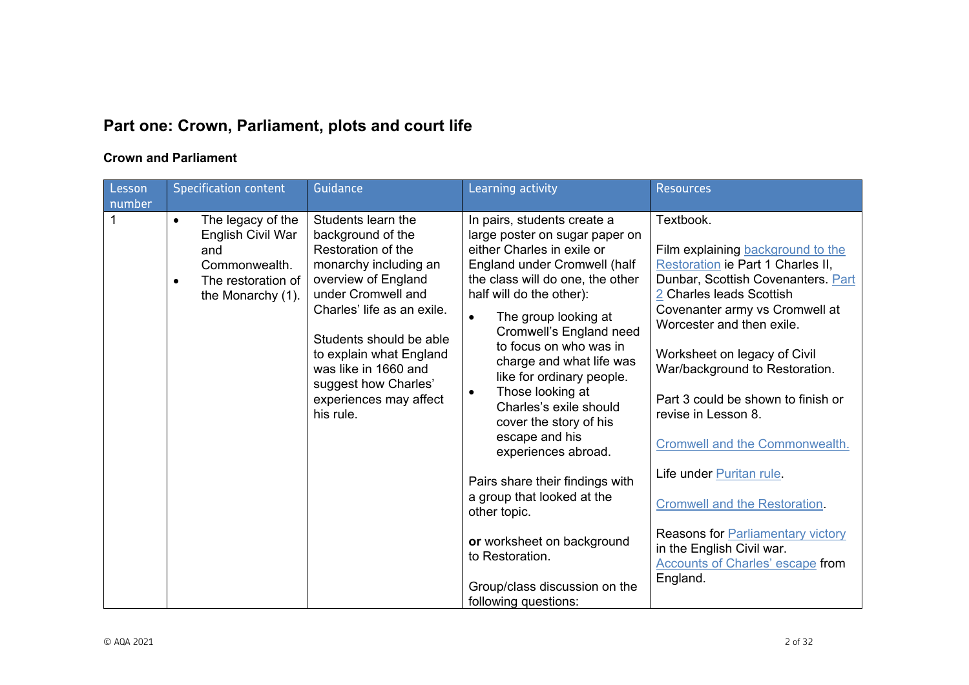# **Part one: Crown, Parliament, plots and court life**

# **Crown and Parliament**

| Lesson<br>number | <b>Specification content</b>                                                                                                        | Guidance                                                                                                                                                                                                                                                                                                       | Learning activity                                                                                                                                                                                                                                                                                                                                                                                                                                                                                                                                             | <b>Resources</b>                                                                                                                                                                                                                                                                                                                                                                                                                                                |
|------------------|-------------------------------------------------------------------------------------------------------------------------------------|----------------------------------------------------------------------------------------------------------------------------------------------------------------------------------------------------------------------------------------------------------------------------------------------------------------|---------------------------------------------------------------------------------------------------------------------------------------------------------------------------------------------------------------------------------------------------------------------------------------------------------------------------------------------------------------------------------------------------------------------------------------------------------------------------------------------------------------------------------------------------------------|-----------------------------------------------------------------------------------------------------------------------------------------------------------------------------------------------------------------------------------------------------------------------------------------------------------------------------------------------------------------------------------------------------------------------------------------------------------------|
|                  | The legacy of the<br>$\bullet$<br>English Civil War<br>and<br>Commonwealth.<br>The restoration of<br>$\bullet$<br>the Monarchy (1). | Students learn the<br>background of the<br>Restoration of the<br>monarchy including an<br>overview of England<br>under Cromwell and<br>Charles' life as an exile.<br>Students should be able<br>to explain what England<br>was like in 1660 and<br>suggest how Charles'<br>experiences may affect<br>his rule. | In pairs, students create a<br>large poster on sugar paper on<br>either Charles in exile or<br>England under Cromwell (half<br>the class will do one, the other<br>half will do the other):<br>The group looking at<br>$\bullet$<br>Cromwell's England need<br>to focus on who was in<br>charge and what life was<br>like for ordinary people.<br>Those looking at<br>$\bullet$<br>Charles's exile should<br>cover the story of his<br>escape and his<br>experiences abroad.<br>Pairs share their findings with<br>a group that looked at the<br>other topic. | Textbook.<br>Film explaining background to the<br>Restoration ie Part 1 Charles II,<br>Dunbar, Scottish Covenanters. Part<br>2 Charles leads Scottish<br>Covenanter army vs Cromwell at<br>Worcester and then exile.<br>Worksheet on legacy of Civil<br>War/background to Restoration.<br>Part 3 could be shown to finish or<br>revise in Lesson 8.<br><b>Cromwell and the Commonwealth.</b><br>Life under Puritan rule.<br><b>Cromwell and the Restoration</b> |
|                  |                                                                                                                                     |                                                                                                                                                                                                                                                                                                                | or worksheet on background<br>to Restoration.<br>Group/class discussion on the<br>following questions:                                                                                                                                                                                                                                                                                                                                                                                                                                                        | Reasons for <b>Parliamentary</b> victory<br>in the English Civil war.<br><b>Accounts of Charles' escape from</b><br>England.                                                                                                                                                                                                                                                                                                                                    |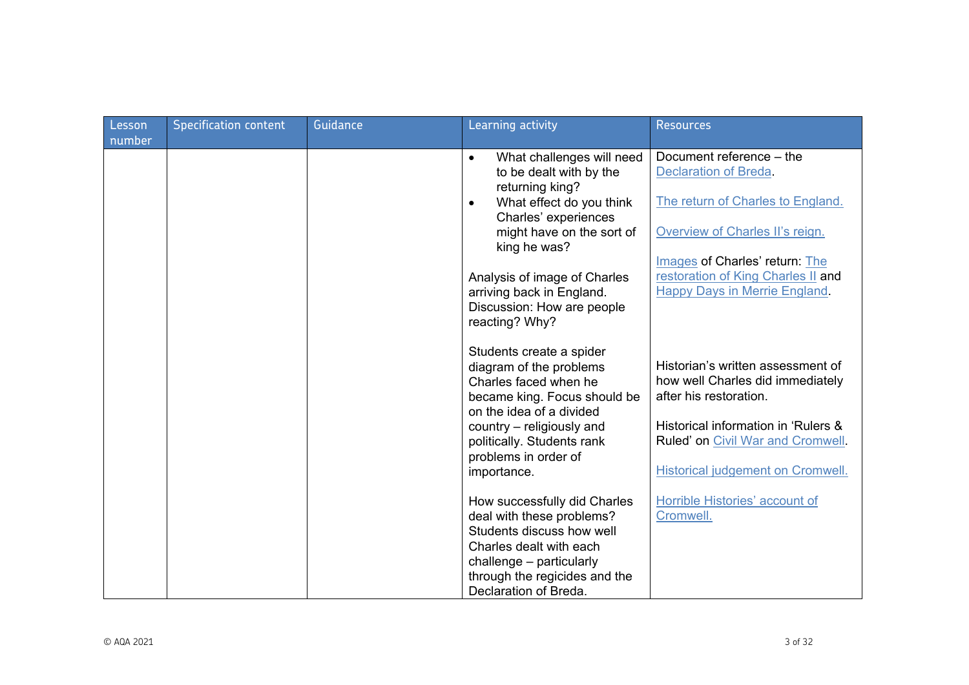| Lesson | <b>Specification content</b> | <b>Guidance</b> | Learning activity                                                                                                                        | <b>Resources</b>                                                                                      |
|--------|------------------------------|-----------------|------------------------------------------------------------------------------------------------------------------------------------------|-------------------------------------------------------------------------------------------------------|
| number |                              |                 |                                                                                                                                          |                                                                                                       |
|        |                              |                 | What challenges will need<br>$\bullet$<br>to be dealt with by the<br>returning king?                                                     | Document reference - the<br><b>Declaration of Breda.</b>                                              |
|        |                              |                 | What effect do you think<br>$\bullet$<br>Charles' experiences                                                                            | The return of Charles to England.                                                                     |
|        |                              |                 | might have on the sort of<br>king he was?                                                                                                | Overview of Charles II's reign.                                                                       |
|        |                              |                 | Analysis of image of Charles<br>arriving back in England.<br>Discussion: How are people<br>reacting? Why?                                | Images of Charles' return: The<br>restoration of King Charles II and<br>Happy Days in Merrie England. |
|        |                              |                 | Students create a spider<br>diagram of the problems<br>Charles faced when he<br>became king. Focus should be<br>on the idea of a divided | Historian's written assessment of<br>how well Charles did immediately<br>after his restoration.       |
|        |                              |                 | country – religiously and<br>politically. Students rank<br>problems in order of                                                          | Historical information in 'Rulers &<br>Ruled' on Civil War and Cromwell.                              |
|        |                              |                 | importance.                                                                                                                              | <b>Historical judgement on Cromwell.</b>                                                              |
|        |                              |                 | How successfully did Charles<br>deal with these problems?                                                                                | Horrible Histories' account of<br>Cromwell.                                                           |
|        |                              |                 | Students discuss how well<br>Charles dealt with each                                                                                     |                                                                                                       |
|        |                              |                 | challenge - particularly                                                                                                                 |                                                                                                       |
|        |                              |                 | through the regicides and the<br>Declaration of Breda.                                                                                   |                                                                                                       |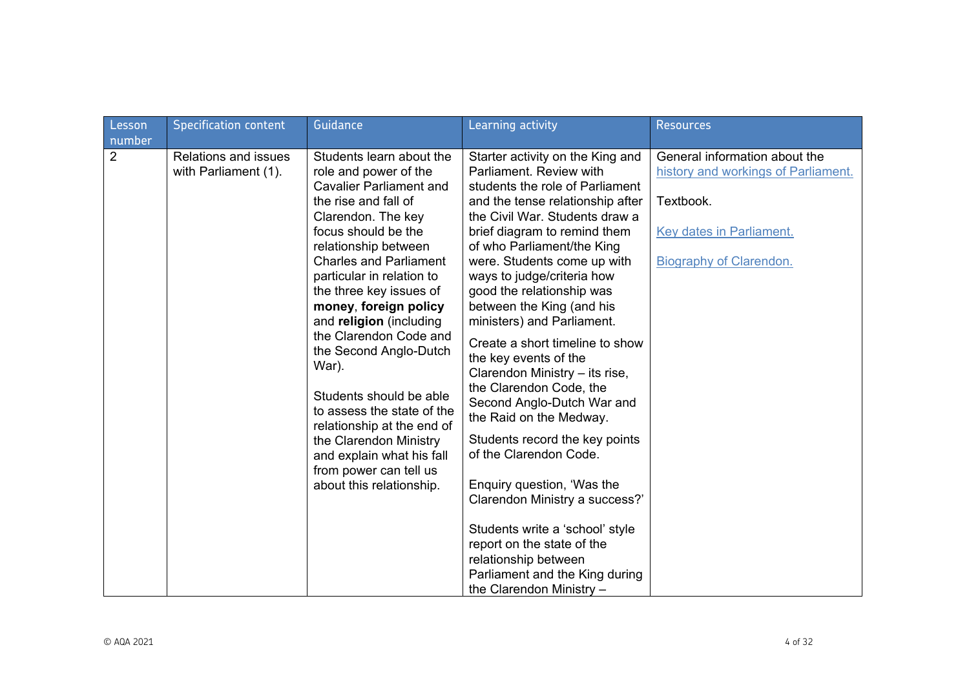| Lesson                   | <b>Specification content</b>                        | Guidance                                                                                                                                                                                                                                                                                                                                                                                                                                                                                                                                                                                       | Learning activity                                                                                                                                                                                                                                                                                                                                                                                                                                                                                                                                                                                                                                                                                                                        | <b>Resources</b>                                                                                                                                |
|--------------------------|-----------------------------------------------------|------------------------------------------------------------------------------------------------------------------------------------------------------------------------------------------------------------------------------------------------------------------------------------------------------------------------------------------------------------------------------------------------------------------------------------------------------------------------------------------------------------------------------------------------------------------------------------------------|------------------------------------------------------------------------------------------------------------------------------------------------------------------------------------------------------------------------------------------------------------------------------------------------------------------------------------------------------------------------------------------------------------------------------------------------------------------------------------------------------------------------------------------------------------------------------------------------------------------------------------------------------------------------------------------------------------------------------------------|-------------------------------------------------------------------------------------------------------------------------------------------------|
| number<br>$\overline{2}$ | <b>Relations and issues</b><br>with Parliament (1). | Students learn about the<br>role and power of the<br><b>Cavalier Parliament and</b><br>the rise and fall of<br>Clarendon. The key<br>focus should be the<br>relationship between<br><b>Charles and Parliament</b><br>particular in relation to<br>the three key issues of<br>money, foreign policy<br>and religion (including<br>the Clarendon Code and<br>the Second Anglo-Dutch<br>War).<br>Students should be able<br>to assess the state of the<br>relationship at the end of<br>the Clarendon Ministry<br>and explain what his fall<br>from power can tell us<br>about this relationship. | Starter activity on the King and<br>Parliament. Review with<br>students the role of Parliament<br>and the tense relationship after<br>the Civil War. Students draw a<br>brief diagram to remind them<br>of who Parliament/the King<br>were. Students come up with<br>ways to judge/criteria how<br>good the relationship was<br>between the King (and his<br>ministers) and Parliament.<br>Create a short timeline to show<br>the key events of the<br>Clarendon Ministry - its rise,<br>the Clarendon Code, the<br>Second Anglo-Dutch War and<br>the Raid on the Medway.<br>Students record the key points<br>of the Clarendon Code.<br>Enquiry question, 'Was the<br>Clarendon Ministry a success?'<br>Students write a 'school' style | General information about the<br>history and workings of Parliament.<br>Textbook.<br>Key dates in Parliament.<br><b>Biography of Clarendon.</b> |
|                          |                                                     |                                                                                                                                                                                                                                                                                                                                                                                                                                                                                                                                                                                                | report on the state of the<br>relationship between<br>Parliament and the King during<br>the Clarendon Ministry $-$                                                                                                                                                                                                                                                                                                                                                                                                                                                                                                                                                                                                                       |                                                                                                                                                 |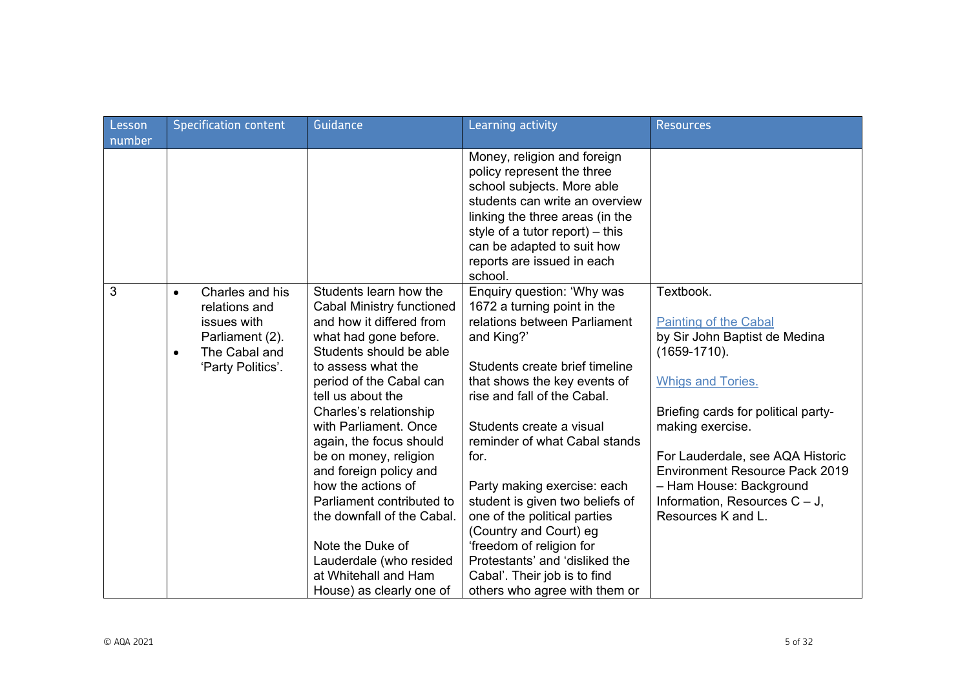| Lesson | <b>Specification content</b>                                                                                                       | Guidance                                                                                                                                                                                                                                                                                                                                                                                                                                                                                                                              | Learning activity                                                                                                                                                                                                                                                                                                                                                                                                                                                                                                                        | <b>Resources</b>                                                                                                                                                                                                                                                                                                                                         |
|--------|------------------------------------------------------------------------------------------------------------------------------------|---------------------------------------------------------------------------------------------------------------------------------------------------------------------------------------------------------------------------------------------------------------------------------------------------------------------------------------------------------------------------------------------------------------------------------------------------------------------------------------------------------------------------------------|------------------------------------------------------------------------------------------------------------------------------------------------------------------------------------------------------------------------------------------------------------------------------------------------------------------------------------------------------------------------------------------------------------------------------------------------------------------------------------------------------------------------------------------|----------------------------------------------------------------------------------------------------------------------------------------------------------------------------------------------------------------------------------------------------------------------------------------------------------------------------------------------------------|
| number |                                                                                                                                    |                                                                                                                                                                                                                                                                                                                                                                                                                                                                                                                                       |                                                                                                                                                                                                                                                                                                                                                                                                                                                                                                                                          |                                                                                                                                                                                                                                                                                                                                                          |
|        |                                                                                                                                    |                                                                                                                                                                                                                                                                                                                                                                                                                                                                                                                                       | Money, religion and foreign<br>policy represent the three<br>school subjects. More able<br>students can write an overview<br>linking the three areas (in the<br>style of a tutor report) $-$ this<br>can be adapted to suit how<br>reports are issued in each<br>school.                                                                                                                                                                                                                                                                 |                                                                                                                                                                                                                                                                                                                                                          |
| 3      | Charles and his<br>$\bullet$<br>relations and<br>issues with<br>Parliament (2).<br>The Cabal and<br>$\bullet$<br>'Party Politics'. | Students learn how the<br><b>Cabal Ministry functioned</b><br>and how it differed from<br>what had gone before.<br>Students should be able<br>to assess what the<br>period of the Cabal can<br>tell us about the<br>Charles's relationship<br>with Parliament, Once<br>again, the focus should<br>be on money, religion<br>and foreign policy and<br>how the actions of<br>Parliament contributed to<br>the downfall of the Cabal.<br>Note the Duke of<br>Lauderdale (who resided<br>at Whitehall and Ham<br>House) as clearly one of | Enquiry question: 'Why was<br>1672 a turning point in the<br>relations between Parliament<br>and King?'<br>Students create brief timeline<br>that shows the key events of<br>rise and fall of the Cabal.<br>Students create a visual<br>reminder of what Cabal stands<br>for.<br>Party making exercise: each<br>student is given two beliefs of<br>one of the political parties<br>(Country and Court) eg<br>'freedom of religion for<br>Protestants' and 'disliked the<br>Cabal'. Their job is to find<br>others who agree with them or | Textbook.<br><b>Painting of the Cabal</b><br>by Sir John Baptist de Medina<br>$(1659 - 1710)$ .<br><b>Whigs and Tories.</b><br>Briefing cards for political party-<br>making exercise.<br>For Lauderdale, see AQA Historic<br><b>Environment Resource Pack 2019</b><br>- Ham House: Background<br>Information, Resources $C - J$ ,<br>Resources K and L. |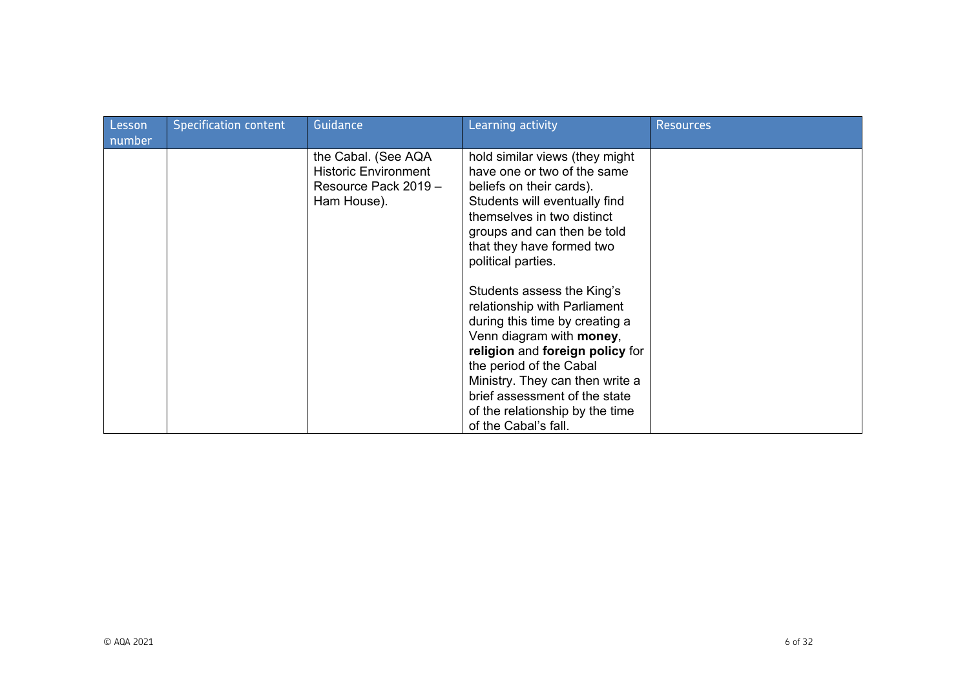| Lesson<br>number | <b>Specification content</b> | Guidance                                                                                  | Learning activity                                                                                                                                                                                                                                                                                                                                                                                                                                                                                                                                                   | <b>Resources</b> |
|------------------|------------------------------|-------------------------------------------------------------------------------------------|---------------------------------------------------------------------------------------------------------------------------------------------------------------------------------------------------------------------------------------------------------------------------------------------------------------------------------------------------------------------------------------------------------------------------------------------------------------------------------------------------------------------------------------------------------------------|------------------|
|                  |                              | the Cabal. (See AQA<br><b>Historic Environment</b><br>Resource Pack 2019 -<br>Ham House). | hold similar views (they might<br>have one or two of the same<br>beliefs on their cards).<br>Students will eventually find<br>themselves in two distinct<br>groups and can then be told<br>that they have formed two<br>political parties.<br>Students assess the King's<br>relationship with Parliament<br>during this time by creating a<br>Venn diagram with money,<br>religion and foreign policy for<br>the period of the Cabal<br>Ministry. They can then write a<br>brief assessment of the state<br>of the relationship by the time<br>of the Cabal's fall. |                  |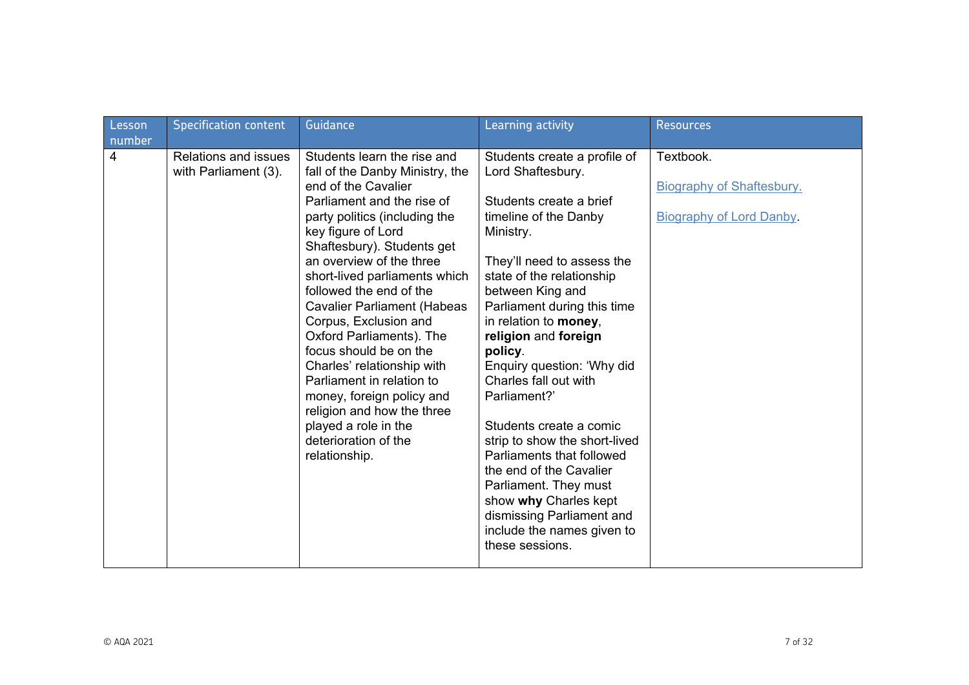| Lesson<br>number | <b>Specification content</b>                 | Guidance                                                                                                                                                                                                                                                                                                                                                                                                                                                                                                                                                                                                     | Learning activity                                                                                                                                                                                                                                                                                                                                                                                                                                                                                                                                                                                                       | <b>Resources</b>                                                                 |
|------------------|----------------------------------------------|--------------------------------------------------------------------------------------------------------------------------------------------------------------------------------------------------------------------------------------------------------------------------------------------------------------------------------------------------------------------------------------------------------------------------------------------------------------------------------------------------------------------------------------------------------------------------------------------------------------|-------------------------------------------------------------------------------------------------------------------------------------------------------------------------------------------------------------------------------------------------------------------------------------------------------------------------------------------------------------------------------------------------------------------------------------------------------------------------------------------------------------------------------------------------------------------------------------------------------------------------|----------------------------------------------------------------------------------|
| $\overline{4}$   | Relations and issues<br>with Parliament (3). | Students learn the rise and<br>fall of the Danby Ministry, the<br>end of the Cavalier<br>Parliament and the rise of<br>party politics (including the<br>key figure of Lord<br>Shaftesbury). Students get<br>an overview of the three<br>short-lived parliaments which<br>followed the end of the<br><b>Cavalier Parliament (Habeas</b><br>Corpus, Exclusion and<br>Oxford Parliaments). The<br>focus should be on the<br>Charles' relationship with<br>Parliament in relation to<br>money, foreign policy and<br>religion and how the three<br>played a role in the<br>deterioration of the<br>relationship. | Students create a profile of<br>Lord Shaftesbury.<br>Students create a brief<br>timeline of the Danby<br>Ministry.<br>They'll need to assess the<br>state of the relationship<br>between King and<br>Parliament during this time<br>in relation to money,<br>religion and foreign<br>policy.<br>Enquiry question: 'Why did<br>Charles fall out with<br>Parliament?'<br>Students create a comic<br>strip to show the short-lived<br>Parliaments that followed<br>the end of the Cavalier<br>Parliament. They must<br>show why Charles kept<br>dismissing Parliament and<br>include the names given to<br>these sessions. | Textbook.<br><b>Biography of Shaftesbury.</b><br><b>Biography of Lord Danby.</b> |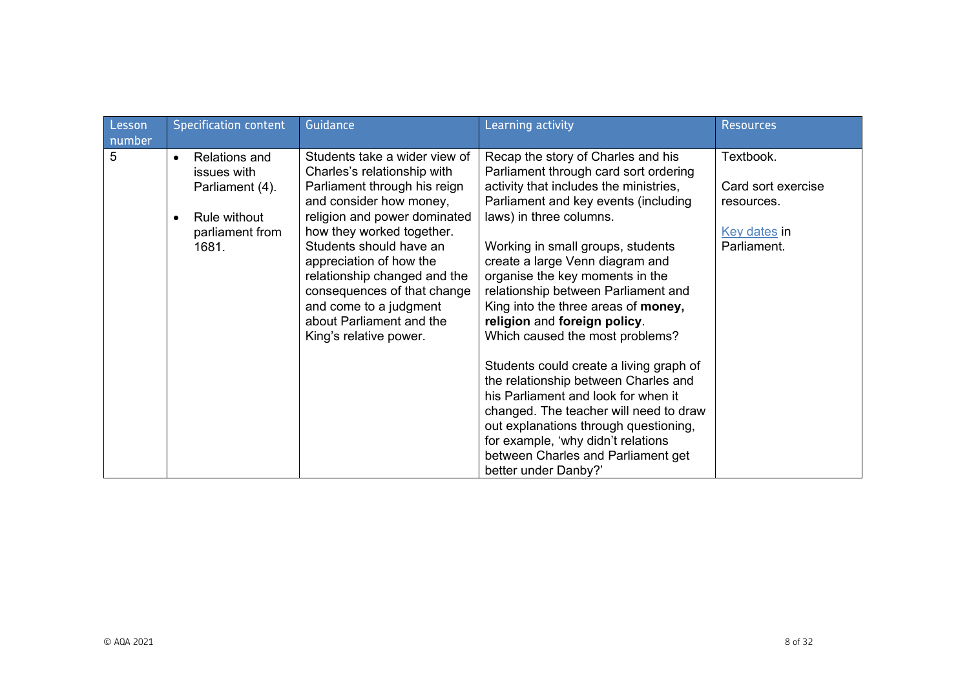| Lesson<br>number | <b>Specification content</b>                                                                                    | Guidance                                                                                                                                                                                                                                                                                                                                                                                  | Learning activity                                                                                                                                                                                                                                                                                                                                                                                                                                                                                                                                                                                                                                                                                                                                                     | <b>Resources</b>                                                             |
|------------------|-----------------------------------------------------------------------------------------------------------------|-------------------------------------------------------------------------------------------------------------------------------------------------------------------------------------------------------------------------------------------------------------------------------------------------------------------------------------------------------------------------------------------|-----------------------------------------------------------------------------------------------------------------------------------------------------------------------------------------------------------------------------------------------------------------------------------------------------------------------------------------------------------------------------------------------------------------------------------------------------------------------------------------------------------------------------------------------------------------------------------------------------------------------------------------------------------------------------------------------------------------------------------------------------------------------|------------------------------------------------------------------------------|
| 5                | <b>Relations and</b><br>$\bullet$<br>issues with<br>Parliament (4).<br>Rule without<br>parliament from<br>1681. | Students take a wider view of<br>Charles's relationship with<br>Parliament through his reign<br>and consider how money,<br>religion and power dominated<br>how they worked together.<br>Students should have an<br>appreciation of how the<br>relationship changed and the<br>consequences of that change<br>and come to a judgment<br>about Parliament and the<br>King's relative power. | Recap the story of Charles and his<br>Parliament through card sort ordering<br>activity that includes the ministries,<br>Parliament and key events (including<br>laws) in three columns.<br>Working in small groups, students<br>create a large Venn diagram and<br>organise the key moments in the<br>relationship between Parliament and<br>King into the three areas of money,<br>religion and foreign policy.<br>Which caused the most problems?<br>Students could create a living graph of<br>the relationship between Charles and<br>his Parliament and look for when it<br>changed. The teacher will need to draw<br>out explanations through questioning,<br>for example, 'why didn't relations<br>between Charles and Parliament get<br>better under Danby?' | Textbook.<br>Card sort exercise<br>resources.<br>Key dates in<br>Parliament. |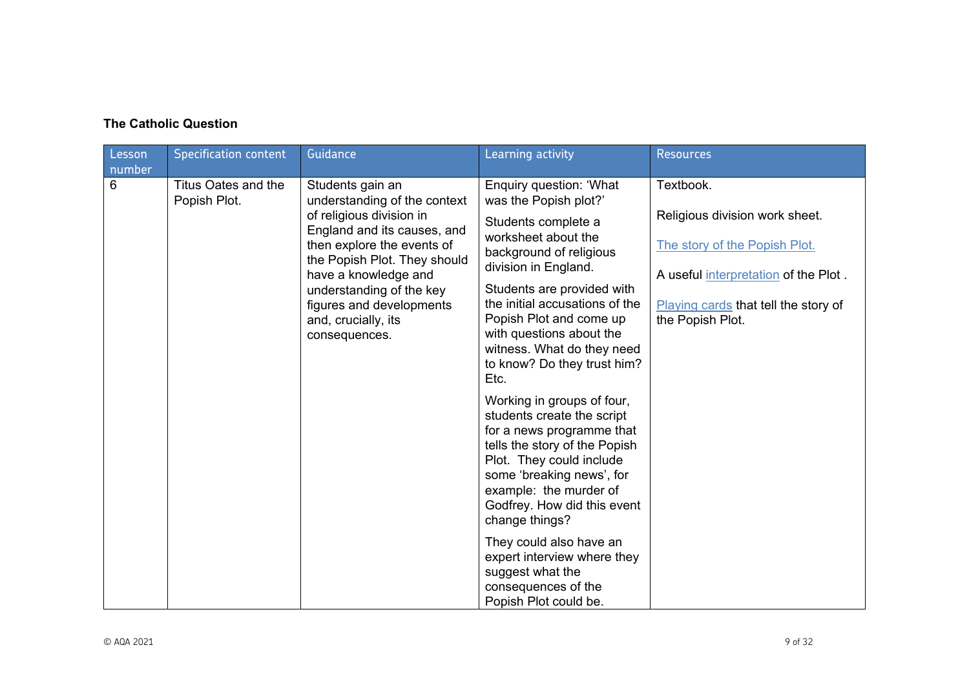## **The Catholic Question**

| Lesson<br>number | <b>Specification content</b>        | Guidance                                                                                                                                                                                                                                                                                          | Learning activity                                                                                                                                                                                                                                                                                                                                                                                                                                                                                                                                                                                                                                                                                                                         | <b>Resources</b>                                                                                                                                                                 |
|------------------|-------------------------------------|---------------------------------------------------------------------------------------------------------------------------------------------------------------------------------------------------------------------------------------------------------------------------------------------------|-------------------------------------------------------------------------------------------------------------------------------------------------------------------------------------------------------------------------------------------------------------------------------------------------------------------------------------------------------------------------------------------------------------------------------------------------------------------------------------------------------------------------------------------------------------------------------------------------------------------------------------------------------------------------------------------------------------------------------------------|----------------------------------------------------------------------------------------------------------------------------------------------------------------------------------|
| 6                | Titus Oates and the<br>Popish Plot. | Students gain an<br>understanding of the context<br>of religious division in<br>England and its causes, and<br>then explore the events of<br>the Popish Plot. They should<br>have a knowledge and<br>understanding of the key<br>figures and developments<br>and, crucially, its<br>consequences. | Enquiry question: 'What<br>was the Popish plot?'<br>Students complete a<br>worksheet about the<br>background of religious<br>division in England.<br>Students are provided with<br>the initial accusations of the<br>Popish Plot and come up<br>with questions about the<br>witness. What do they need<br>to know? Do they trust him?<br>Etc.<br>Working in groups of four,<br>students create the script<br>for a news programme that<br>tells the story of the Popish<br>Plot. They could include<br>some 'breaking news', for<br>example: the murder of<br>Godfrey. How did this event<br>change things?<br>They could also have an<br>expert interview where they<br>suggest what the<br>consequences of the<br>Popish Plot could be. | Textbook.<br>Religious division work sheet.<br>The story of the Popish Plot.<br>A useful interpretation of the Plot.<br>Playing cards that tell the story of<br>the Popish Plot. |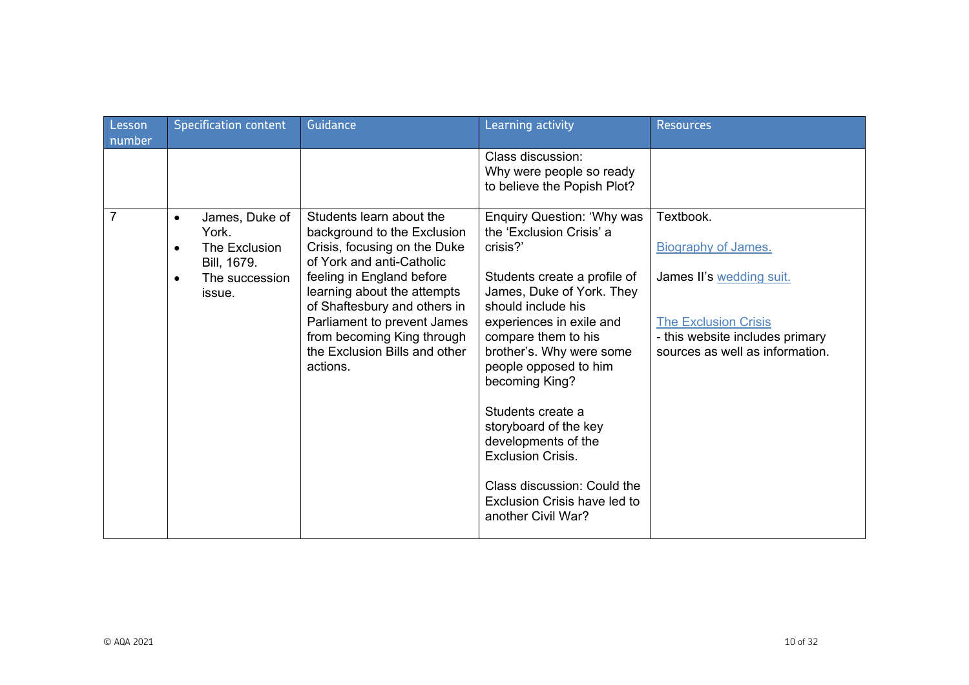| Class discussion:<br>Why were people so ready<br>to believe the Popish Plot?                                                                                                                                                                                                                                                                                                                                                                                                                                                                                                                                                                                                                                                                                                                                                                                                                                                                                                                                                                                                                                                    |  |
|---------------------------------------------------------------------------------------------------------------------------------------------------------------------------------------------------------------------------------------------------------------------------------------------------------------------------------------------------------------------------------------------------------------------------------------------------------------------------------------------------------------------------------------------------------------------------------------------------------------------------------------------------------------------------------------------------------------------------------------------------------------------------------------------------------------------------------------------------------------------------------------------------------------------------------------------------------------------------------------------------------------------------------------------------------------------------------------------------------------------------------|--|
| $\overline{7}$<br>Students learn about the<br><b>Enquiry Question: 'Why was</b><br>Textbook.<br>James, Duke of<br>$\bullet$<br>the 'Exclusion Crisis' a<br>background to the Exclusion<br>York.<br>Crisis, focusing on the Duke<br>crisis?'<br><b>Biography of James.</b><br>The Exclusion<br>$\bullet$<br>of York and anti-Catholic<br>Bill, 1679.<br>feeling in England before<br>Students create a profile of<br>James II's wedding suit.<br>The succession<br>$\bullet$<br>learning about the attempts<br>James, Duke of York. They<br>issue.<br>of Shaftesbury and others in<br>should include his<br>Parliament to prevent James<br>experiences in exile and<br>The Exclusion Crisis<br>from becoming King through<br>compare them to his<br>- this website includes primary<br>the Exclusion Bills and other<br>brother's. Why were some<br>sources as well as information.<br>people opposed to him<br>actions.<br>becoming King?<br>Students create a<br>storyboard of the key<br>developments of the<br><b>Exclusion Crisis.</b><br>Class discussion: Could the<br>Exclusion Crisis have led to<br>another Civil War? |  |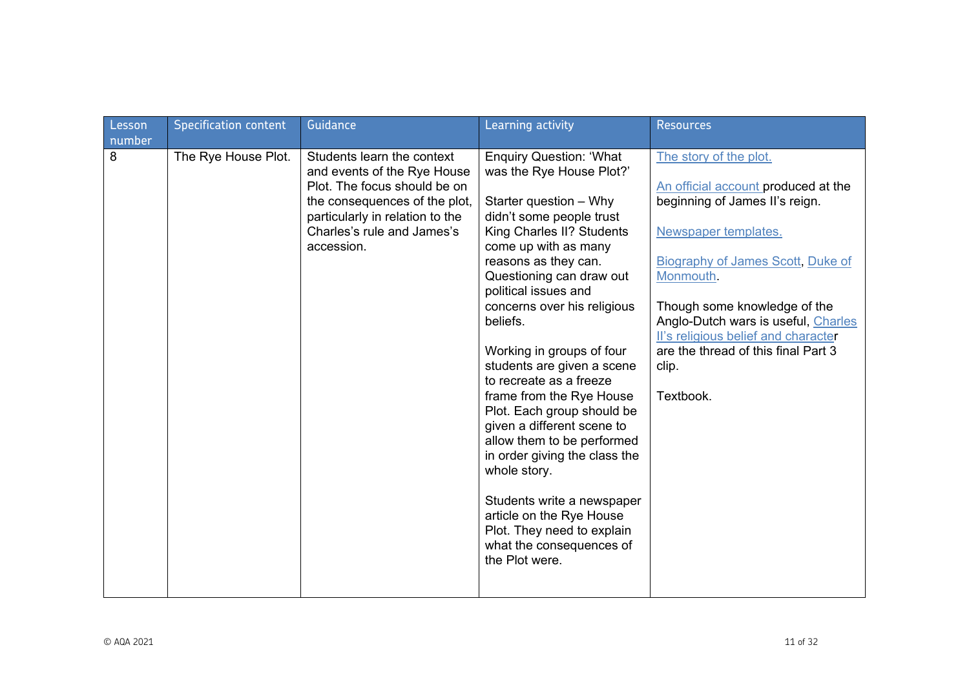| Lesson<br>number | <b>Specification content</b> | Guidance                                                                                                                                                                                                  | Learning activity                                                                                                                                                                                                                                                                                                                                                                                                                                                                                                                                                                                                                                                                               | <b>Resources</b>                                                                                                                                                                                                                                                                                                                                            |
|------------------|------------------------------|-----------------------------------------------------------------------------------------------------------------------------------------------------------------------------------------------------------|-------------------------------------------------------------------------------------------------------------------------------------------------------------------------------------------------------------------------------------------------------------------------------------------------------------------------------------------------------------------------------------------------------------------------------------------------------------------------------------------------------------------------------------------------------------------------------------------------------------------------------------------------------------------------------------------------|-------------------------------------------------------------------------------------------------------------------------------------------------------------------------------------------------------------------------------------------------------------------------------------------------------------------------------------------------------------|
| 8                | The Rye House Plot.          | Students learn the context<br>and events of the Rye House<br>Plot. The focus should be on<br>the consequences of the plot,<br>particularly in relation to the<br>Charles's rule and James's<br>accession. | <b>Enquiry Question: 'What</b><br>was the Rye House Plot?'<br>Starter question - Why<br>didn't some people trust<br>King Charles II? Students<br>come up with as many<br>reasons as they can.<br>Questioning can draw out<br>political issues and<br>concerns over his religious<br>beliefs.<br>Working in groups of four<br>students are given a scene<br>to recreate as a freeze<br>frame from the Rye House<br>Plot. Each group should be<br>given a different scene to<br>allow them to be performed<br>in order giving the class the<br>whole story.<br>Students write a newspaper<br>article on the Rye House<br>Plot. They need to explain<br>what the consequences of<br>the Plot were. | The story of the plot.<br>An official account produced at the<br>beginning of James II's reign.<br>Newspaper templates.<br><b>Biography of James Scott, Duke of</b><br>Monmouth.<br>Though some knowledge of the<br>Anglo-Dutch wars is useful, Charles<br>II's religious belief and character<br>are the thread of this final Part 3<br>clip.<br>Textbook. |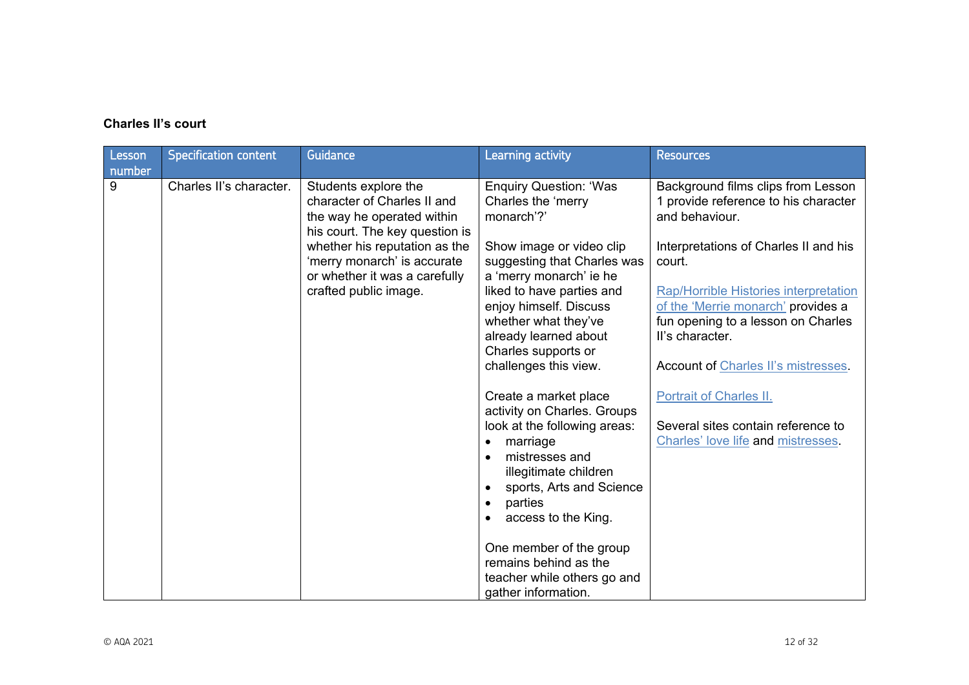## **Charles II's court**

| Lesson<br>number | <b>Specification content</b> | Guidance                                                                                                                                                                                                                                      | Learning activity                                                                                                                                                                                                                                                                                                                        | <b>Resources</b>                                                                                                                                                                                                                                                                                                                                                        |
|------------------|------------------------------|-----------------------------------------------------------------------------------------------------------------------------------------------------------------------------------------------------------------------------------------------|------------------------------------------------------------------------------------------------------------------------------------------------------------------------------------------------------------------------------------------------------------------------------------------------------------------------------------------|-------------------------------------------------------------------------------------------------------------------------------------------------------------------------------------------------------------------------------------------------------------------------------------------------------------------------------------------------------------------------|
| 9                | Charles II's character.      | Students explore the<br>character of Charles II and<br>the way he operated within<br>his court. The key question is<br>whether his reputation as the<br>'merry monarch' is accurate<br>or whether it was a carefully<br>crafted public image. | <b>Enquiry Question: 'Was</b><br>Charles the 'merry<br>monarch'?'<br>Show image or video clip<br>suggesting that Charles was<br>a 'merry monarch' ie he<br>liked to have parties and<br>enjoy himself. Discuss<br>whether what they've<br>already learned about<br>Charles supports or<br>challenges this view.<br>Create a market place | Background films clips from Lesson<br>1 provide reference to his character<br>and behaviour.<br>Interpretations of Charles II and his<br>court.<br>Rap/Horrible Histories interpretation<br>of the 'Merrie monarch' provides a<br>fun opening to a lesson on Charles<br>II's character.<br><b>Account of Charles II's mistresses.</b><br><b>Portrait of Charles II.</b> |
|                  |                              |                                                                                                                                                                                                                                               | activity on Charles. Groups<br>look at the following areas:<br>marriage<br>$\bullet$<br>mistresses and<br>illegitimate children<br>sports, Arts and Science<br>parties<br>$\bullet$<br>access to the King.<br>One member of the group<br>remains behind as the<br>teacher while others go and<br>gather information.                     | Several sites contain reference to<br>Charles' love life and mistresses.                                                                                                                                                                                                                                                                                                |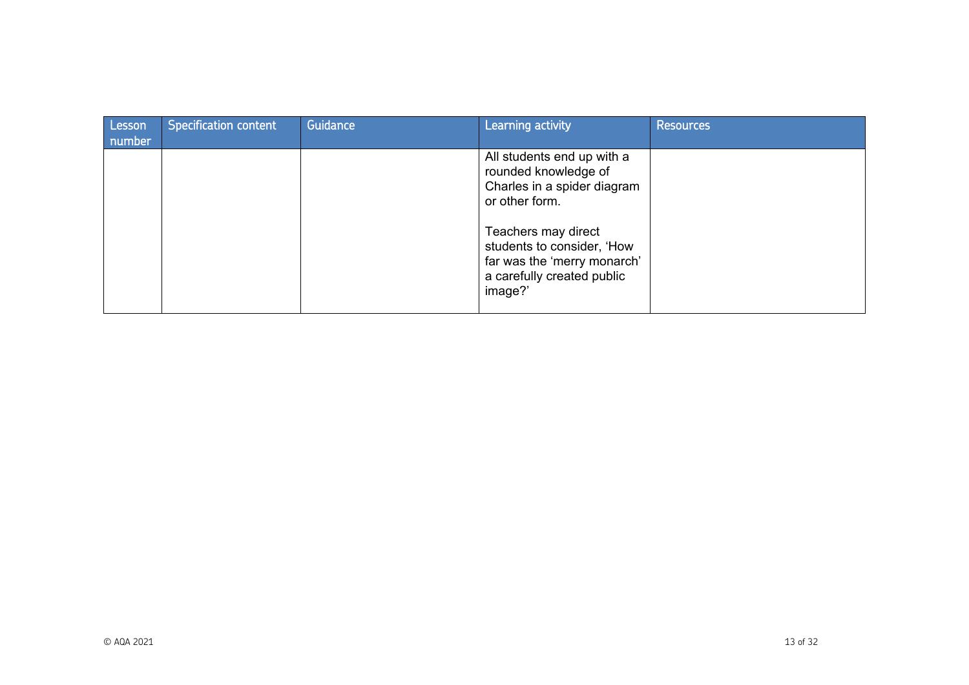| Lesson<br>number | <b>Specification content</b> | Guidance | Learning activity                                                                                                                                                                                                                | <b>Resources</b> |
|------------------|------------------------------|----------|----------------------------------------------------------------------------------------------------------------------------------------------------------------------------------------------------------------------------------|------------------|
|                  |                              |          | All students end up with a<br>rounded knowledge of<br>Charles in a spider diagram<br>or other form.<br>Teachers may direct<br>students to consider, 'How<br>far was the 'merry monarch'<br>a carefully created public<br>image?' |                  |
|                  |                              |          |                                                                                                                                                                                                                                  |                  |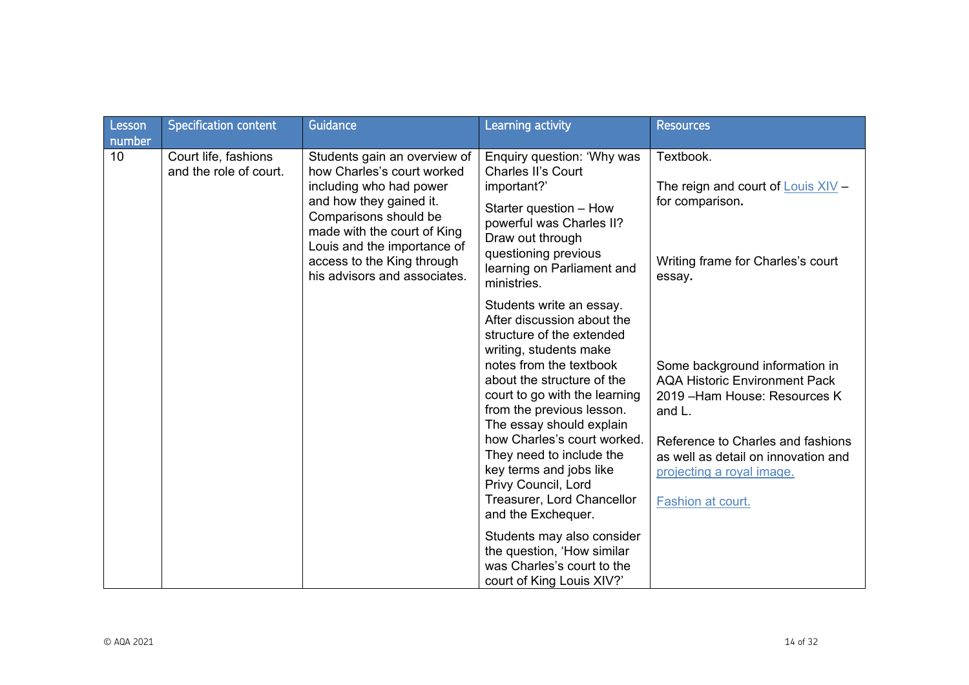| Lesson<br>number | <b>Specification content</b>                   | Guidance                                                                                                                                                                                                                                                              | <b>Learning activity</b>                                                                                                                                                                                                                                                                                                                                                                                                                                                                                                                                 | <b>Resources</b>                                                                                                                                                                                                                                |
|------------------|------------------------------------------------|-----------------------------------------------------------------------------------------------------------------------------------------------------------------------------------------------------------------------------------------------------------------------|----------------------------------------------------------------------------------------------------------------------------------------------------------------------------------------------------------------------------------------------------------------------------------------------------------------------------------------------------------------------------------------------------------------------------------------------------------------------------------------------------------------------------------------------------------|-------------------------------------------------------------------------------------------------------------------------------------------------------------------------------------------------------------------------------------------------|
| 10               | Court life, fashions<br>and the role of court. | Students gain an overview of<br>how Charles's court worked<br>including who had power<br>and how they gained it.<br>Comparisons should be<br>made with the court of King<br>Louis and the importance of<br>access to the King through<br>his advisors and associates. | Enquiry question: 'Why was<br><b>Charles II's Court</b><br>important?'<br>Starter question - How<br>powerful was Charles II?<br>Draw out through<br>questioning previous<br>learning on Parliament and<br>ministries.                                                                                                                                                                                                                                                                                                                                    | Textbook.<br>The reign and court of $Louis XIV -$<br>for comparison.<br>Writing frame for Charles's court<br>essay.                                                                                                                             |
|                  |                                                |                                                                                                                                                                                                                                                                       | Students write an essay.<br>After discussion about the<br>structure of the extended<br>writing, students make<br>notes from the textbook<br>about the structure of the<br>court to go with the learning<br>from the previous lesson.<br>The essay should explain<br>how Charles's court worked.<br>They need to include the<br>key terms and jobs like<br>Privy Council, Lord<br>Treasurer, Lord Chancellor<br>and the Exchequer.<br>Students may also consider<br>the question, 'How similar<br>was Charles's court to the<br>court of King Louis XIV?' | Some background information in<br><b>AQA Historic Environment Pack</b><br>2019 - Ham House: Resources K<br>and L.<br>Reference to Charles and fashions<br>as well as detail on innovation and<br>projecting a royal image.<br>Fashion at court. |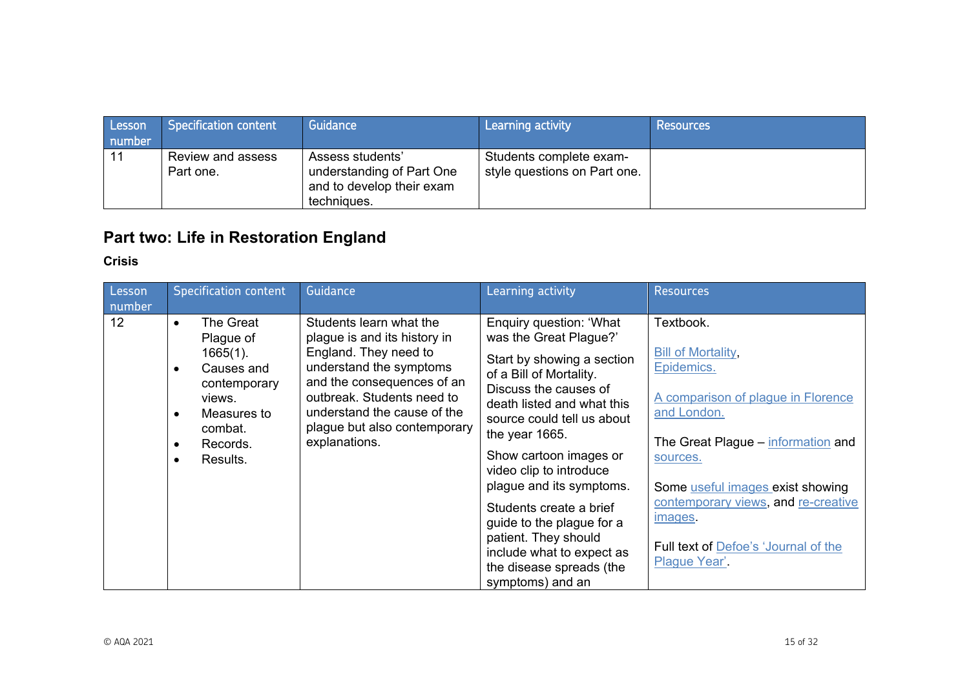| Lesson<br>number | Specification content          | Guidance                                                                                  | l Learning activity                                     | Resources |
|------------------|--------------------------------|-------------------------------------------------------------------------------------------|---------------------------------------------------------|-----------|
| 11               | Review and assess<br>Part one. | Assess students'<br>understanding of Part One<br>and to develop their exam<br>techniques. | Students complete exam-<br>style questions on Part one. |           |

# **Part two: Life in Restoration England**

## **Crisis**

| Lesson<br>number | <b>Specification content</b>                                                                                                                                                             | Guidance                                                                                                                                                                                                                                                | Learning activity                                                                                                                                                                                                                                                                                                                                                                                                                                               | <b>Resources</b>                                                                                                                                                                                                                                                                                           |
|------------------|------------------------------------------------------------------------------------------------------------------------------------------------------------------------------------------|---------------------------------------------------------------------------------------------------------------------------------------------------------------------------------------------------------------------------------------------------------|-----------------------------------------------------------------------------------------------------------------------------------------------------------------------------------------------------------------------------------------------------------------------------------------------------------------------------------------------------------------------------------------------------------------------------------------------------------------|------------------------------------------------------------------------------------------------------------------------------------------------------------------------------------------------------------------------------------------------------------------------------------------------------------|
| 12               | The Great<br>$\bullet$<br>Plague of<br>$1665(1)$ .<br>Causes and<br>$\bullet$<br>contemporary<br>views.<br>Measures to<br>$\bullet$<br>combat.<br>Records.<br>$\bullet$<br>Results.<br>٠ | Students learn what the<br>plague is and its history in<br>England. They need to<br>understand the symptoms<br>and the consequences of an<br>outbreak. Students need to<br>understand the cause of the<br>plague but also contemporary<br>explanations. | Enquiry question: 'What<br>was the Great Plague?'<br>Start by showing a section<br>of a Bill of Mortality.<br>Discuss the causes of<br>death listed and what this<br>source could tell us about<br>the year 1665.<br>Show cartoon images or<br>video clip to introduce<br>plague and its symptoms.<br>Students create a brief<br>guide to the plague for a<br>patient. They should<br>include what to expect as<br>the disease spreads (the<br>symptoms) and an | Textbook.<br><b>Bill of Mortality,</b><br>Epidemics.<br>A comparison of plague in Florence<br>and London.<br>The Great Plague – information and<br>sources.<br>Some useful images exist showing<br>contemporary views, and re-creative<br>images.<br>Full text of Defoe's 'Journal of the<br>Plague Year'. |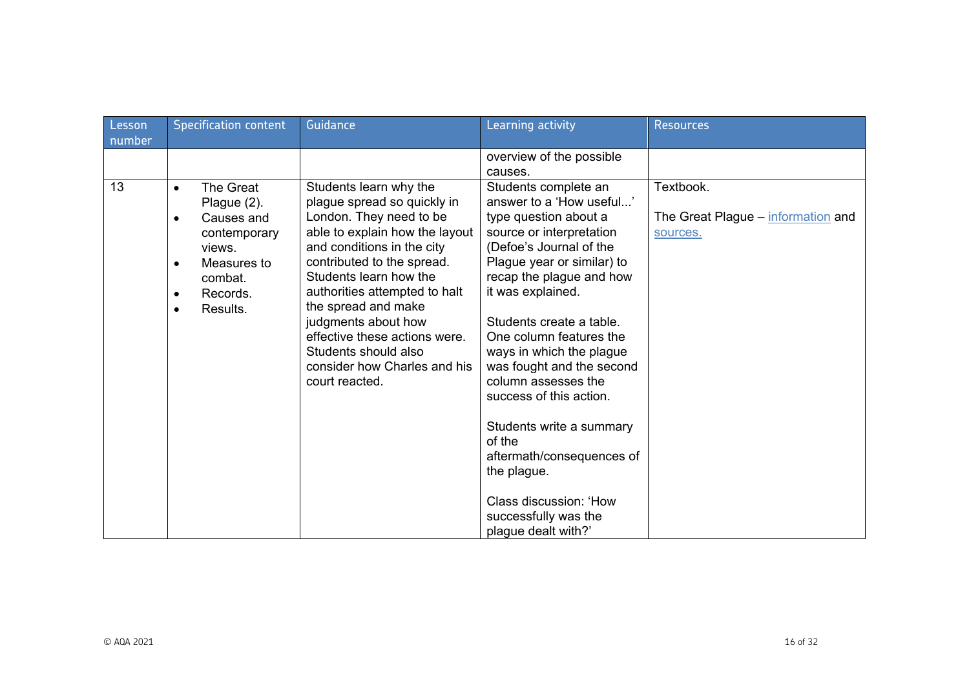| Lesson<br>number | <b>Specification content</b>                                                                                                                                                        | Guidance                                                                                                                                                                                                                                                                                                                                                                                           | Learning activity                                                                                                                                                                                                                                                                                                                                                                                                                                                                                                                            | <b>Resources</b>                                            |
|------------------|-------------------------------------------------------------------------------------------------------------------------------------------------------------------------------------|----------------------------------------------------------------------------------------------------------------------------------------------------------------------------------------------------------------------------------------------------------------------------------------------------------------------------------------------------------------------------------------------------|----------------------------------------------------------------------------------------------------------------------------------------------------------------------------------------------------------------------------------------------------------------------------------------------------------------------------------------------------------------------------------------------------------------------------------------------------------------------------------------------------------------------------------------------|-------------------------------------------------------------|
|                  |                                                                                                                                                                                     |                                                                                                                                                                                                                                                                                                                                                                                                    | overview of the possible<br>causes.                                                                                                                                                                                                                                                                                                                                                                                                                                                                                                          |                                                             |
| 13               | The Great<br>$\bullet$<br>Plague (2).<br>Causes and<br>$\bullet$<br>contemporary<br>views.<br>Measures to<br>$\bullet$<br>combat.<br>Records.<br>$\bullet$<br>Results.<br>$\bullet$ | Students learn why the<br>plague spread so quickly in<br>London. They need to be<br>able to explain how the layout<br>and conditions in the city<br>contributed to the spread.<br>Students learn how the<br>authorities attempted to halt<br>the spread and make<br>judgments about how<br>effective these actions were.<br>Students should also<br>consider how Charles and his<br>court reacted. | Students complete an<br>answer to a 'How useful'<br>type question about a<br>source or interpretation<br>(Defoe's Journal of the<br>Plague year or similar) to<br>recap the plague and how<br>it was explained.<br>Students create a table.<br>One column features the<br>ways in which the plague<br>was fought and the second<br>column assesses the<br>success of this action.<br>Students write a summary<br>of the<br>aftermath/consequences of<br>the plague.<br>Class discussion: 'How<br>successfully was the<br>plague dealt with?' | Textbook.<br>The Great Plague – information and<br>sources. |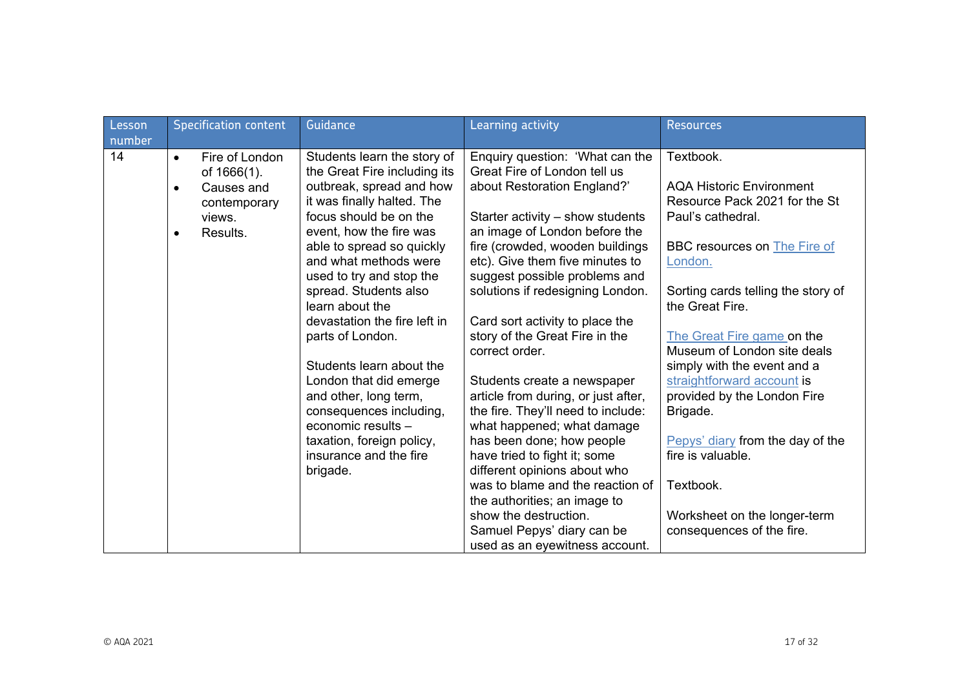| Lesson | <b>Specification content</b>                                                                                             | Guidance                                                                                                                                                                   | Learning activity                                                                                                                                                   | <b>Resources</b>                                                                                   |
|--------|--------------------------------------------------------------------------------------------------------------------------|----------------------------------------------------------------------------------------------------------------------------------------------------------------------------|---------------------------------------------------------------------------------------------------------------------------------------------------------------------|----------------------------------------------------------------------------------------------------|
| number |                                                                                                                          |                                                                                                                                                                            |                                                                                                                                                                     |                                                                                                    |
| 14     | Fire of London<br>$\bullet$<br>of 1666(1).<br>Causes and<br>$\bullet$<br>contemporary<br>views.<br>Results.<br>$\bullet$ | Students learn the story of<br>the Great Fire including its<br>outbreak, spread and how<br>it was finally halted. The<br>focus should be on the<br>event, how the fire was | Enquiry question: 'What can the<br>Great Fire of London tell us<br>about Restoration England?'<br>Starter activity – show students<br>an image of London before the | Textbook.<br><b>AQA Historic Environment</b><br>Resource Pack 2021 for the St<br>Paul's cathedral. |
|        |                                                                                                                          | able to spread so quickly<br>and what methods were<br>used to try and stop the<br>spread. Students also                                                                    | fire (crowded, wooden buildings<br>etc). Give them five minutes to<br>suggest possible problems and<br>solutions if redesigning London.                             | BBC resources on <b>The Fire of</b><br>London.<br>Sorting cards telling the story of               |
|        |                                                                                                                          | learn about the<br>devastation the fire left in                                                                                                                            | Card sort activity to place the                                                                                                                                     | the Great Fire.                                                                                    |
|        |                                                                                                                          | parts of London.                                                                                                                                                           | story of the Great Fire in the<br>correct order.                                                                                                                    | The Great Fire game on the<br>Museum of London site deals                                          |
|        |                                                                                                                          | Students learn about the                                                                                                                                                   |                                                                                                                                                                     | simply with the event and a                                                                        |
|        |                                                                                                                          | London that did emerge                                                                                                                                                     | Students create a newspaper                                                                                                                                         | straightforward account is                                                                         |
|        |                                                                                                                          | and other, long term,<br>consequences including,                                                                                                                           | article from during, or just after,<br>the fire. They'll need to include:                                                                                           | provided by the London Fire<br>Brigade.                                                            |
|        |                                                                                                                          | economic results -                                                                                                                                                         | what happened; what damage                                                                                                                                          |                                                                                                    |
|        |                                                                                                                          | taxation, foreign policy,                                                                                                                                                  | has been done; how people                                                                                                                                           | Pepys' diary from the day of the                                                                   |
|        |                                                                                                                          | insurance and the fire                                                                                                                                                     | have tried to fight it; some                                                                                                                                        | fire is valuable.                                                                                  |
|        |                                                                                                                          | brigade.                                                                                                                                                                   | different opinions about who<br>was to blame and the reaction of                                                                                                    |                                                                                                    |
|        |                                                                                                                          |                                                                                                                                                                            | the authorities; an image to                                                                                                                                        | Textbook.                                                                                          |
|        |                                                                                                                          |                                                                                                                                                                            | show the destruction.                                                                                                                                               | Worksheet on the longer-term                                                                       |
|        |                                                                                                                          |                                                                                                                                                                            | Samuel Pepys' diary can be                                                                                                                                          | consequences of the fire.                                                                          |
|        |                                                                                                                          |                                                                                                                                                                            | used as an eyewitness account.                                                                                                                                      |                                                                                                    |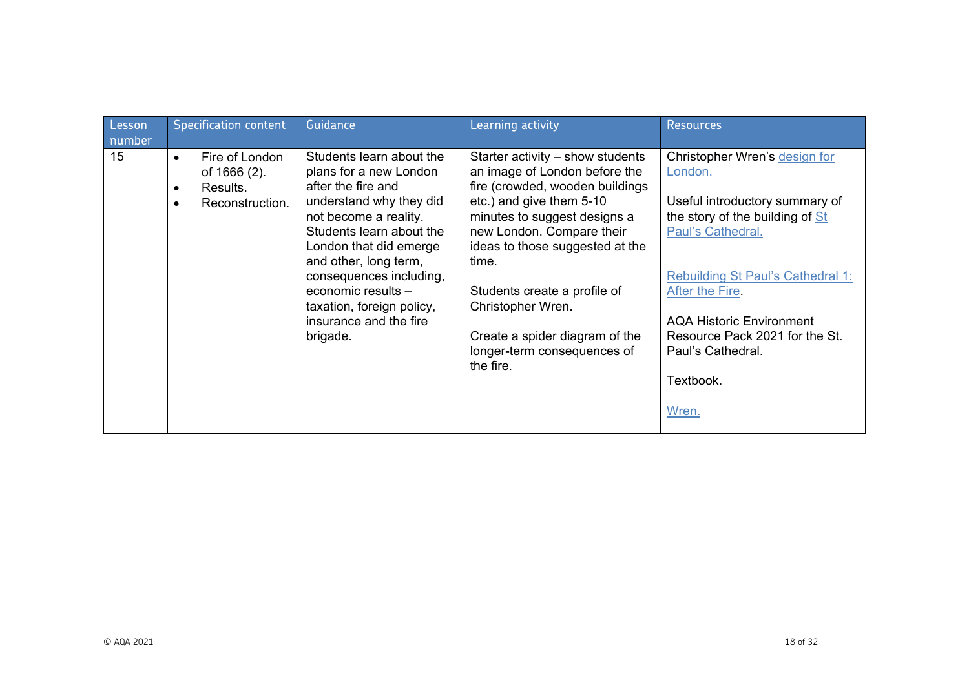| Lesson<br>number | <b>Specification content</b>                                                                         | Guidance                                                                                                                                                                                                                                                                                                                        | Learning activity                                                                                                                                                                                                                                                                                                                                                              | <b>Resources</b>                                                                                                                                                                                                                                                                                                  |
|------------------|------------------------------------------------------------------------------------------------------|---------------------------------------------------------------------------------------------------------------------------------------------------------------------------------------------------------------------------------------------------------------------------------------------------------------------------------|--------------------------------------------------------------------------------------------------------------------------------------------------------------------------------------------------------------------------------------------------------------------------------------------------------------------------------------------------------------------------------|-------------------------------------------------------------------------------------------------------------------------------------------------------------------------------------------------------------------------------------------------------------------------------------------------------------------|
| 15               | Fire of London<br>$\bullet$<br>of 1666 (2).<br>Results.<br>$\bullet$<br>Reconstruction.<br>$\bullet$ | Students learn about the<br>plans for a new London<br>after the fire and<br>understand why they did<br>not become a reality.<br>Students learn about the<br>London that did emerge<br>and other, long term,<br>consequences including,<br>economic results -<br>taxation, foreign policy,<br>insurance and the fire<br>brigade. | Starter activity $-$ show students<br>an image of London before the<br>fire (crowded, wooden buildings<br>etc.) and give them 5-10<br>minutes to suggest designs a<br>new London. Compare their<br>ideas to those suggested at the<br>time.<br>Students create a profile of<br>Christopher Wren.<br>Create a spider diagram of the<br>longer-term consequences of<br>the fire. | Christopher Wren's design for<br>London.<br>Useful introductory summary of<br>the story of the building of St<br>Paul's Cathedral.<br><b>Rebuilding St Paul's Cathedral 1:</b><br>After the Fire.<br><b>AQA Historic Environment</b><br>Resource Pack 2021 for the St.<br>Paul's Cathedral.<br>Textbook.<br>Wren. |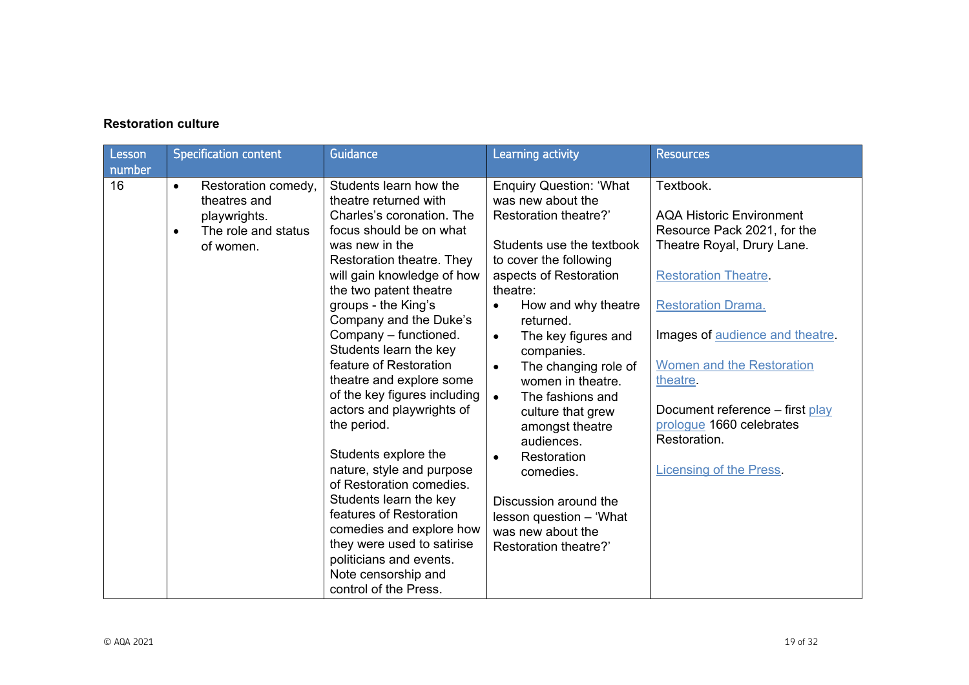## **Restoration culture**

| Lesson<br>number | <b>Specification content</b>                                                                                      | Guidance                                                                                                                                                                                                                                                                                                                                                                                                                                                                                                                                                                                                                                                                                                                        | Learning activity                                                                                                                                                                                                                                                                                                                                                                                                                                                                                                                                                        | <b>Resources</b>                                                                                                                                                                                                                                                                                                                                                         |
|------------------|-------------------------------------------------------------------------------------------------------------------|---------------------------------------------------------------------------------------------------------------------------------------------------------------------------------------------------------------------------------------------------------------------------------------------------------------------------------------------------------------------------------------------------------------------------------------------------------------------------------------------------------------------------------------------------------------------------------------------------------------------------------------------------------------------------------------------------------------------------------|--------------------------------------------------------------------------------------------------------------------------------------------------------------------------------------------------------------------------------------------------------------------------------------------------------------------------------------------------------------------------------------------------------------------------------------------------------------------------------------------------------------------------------------------------------------------------|--------------------------------------------------------------------------------------------------------------------------------------------------------------------------------------------------------------------------------------------------------------------------------------------------------------------------------------------------------------------------|
| 16               | Restoration comedy,<br>$\bullet$<br>theatres and<br>playwrights.<br>The role and status<br>$\bullet$<br>of women. | Students learn how the<br>theatre returned with<br>Charles's coronation. The<br>focus should be on what<br>was new in the<br>Restoration theatre. They<br>will gain knowledge of how<br>the two patent theatre<br>groups - the King's<br>Company and the Duke's<br>Company - functioned.<br>Students learn the key<br>feature of Restoration<br>theatre and explore some<br>of the key figures including<br>actors and playwrights of<br>the period.<br>Students explore the<br>nature, style and purpose<br>of Restoration comedies.<br>Students learn the key<br>features of Restoration<br>comedies and explore how<br>they were used to satirise<br>politicians and events.<br>Note censorship and<br>control of the Press. | <b>Enquiry Question: 'What</b><br>was new about the<br>Restoration theatre?'<br>Students use the textbook<br>to cover the following<br>aspects of Restoration<br>theatre:<br>How and why theatre<br>$\bullet$<br>returned.<br>The key figures and<br>$\bullet$<br>companies.<br>The changing role of<br>$\bullet$<br>women in theatre.<br>The fashions and<br>$\bullet$<br>culture that grew<br>amongst theatre<br>audiences.<br>Restoration<br>$\bullet$<br>comedies.<br>Discussion around the<br>lesson question - 'What<br>was new about the<br>Restoration theatre?' | Textbook.<br><b>AQA Historic Environment</b><br>Resource Pack 2021, for the<br>Theatre Royal, Drury Lane.<br><b>Restoration Theatre.</b><br><b>Restoration Drama.</b><br>Images of audience and theatre.<br><b>Women and the Restoration</b><br>theatre.<br>Document reference – first play<br>prologue 1660 celebrates<br>Restoration.<br><b>Licensing of the Press</b> |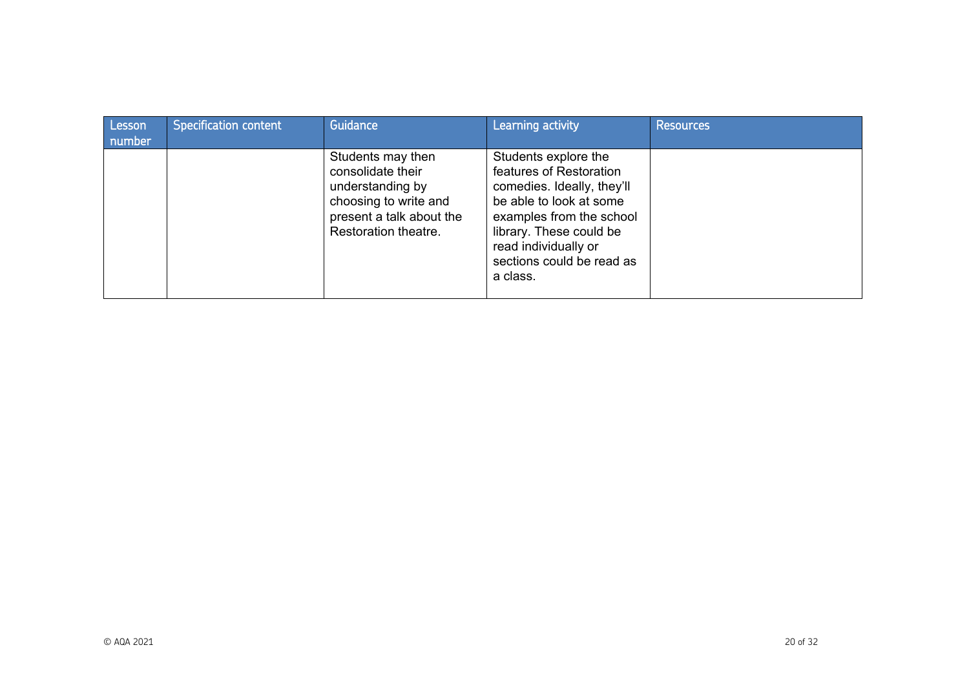| Lesson<br>number | <b>Specification content</b> | Guidance                                                                                                                                | Learning activity                                                                                                                                                                                                                | Resources |
|------------------|------------------------------|-----------------------------------------------------------------------------------------------------------------------------------------|----------------------------------------------------------------------------------------------------------------------------------------------------------------------------------------------------------------------------------|-----------|
|                  |                              | Students may then<br>consolidate their<br>understanding by<br>choosing to write and<br>present a talk about the<br>Restoration theatre. | Students explore the<br>features of Restoration<br>comedies. Ideally, they'll<br>be able to look at some<br>examples from the school<br>library. These could be<br>read individually or<br>sections could be read as<br>a class. |           |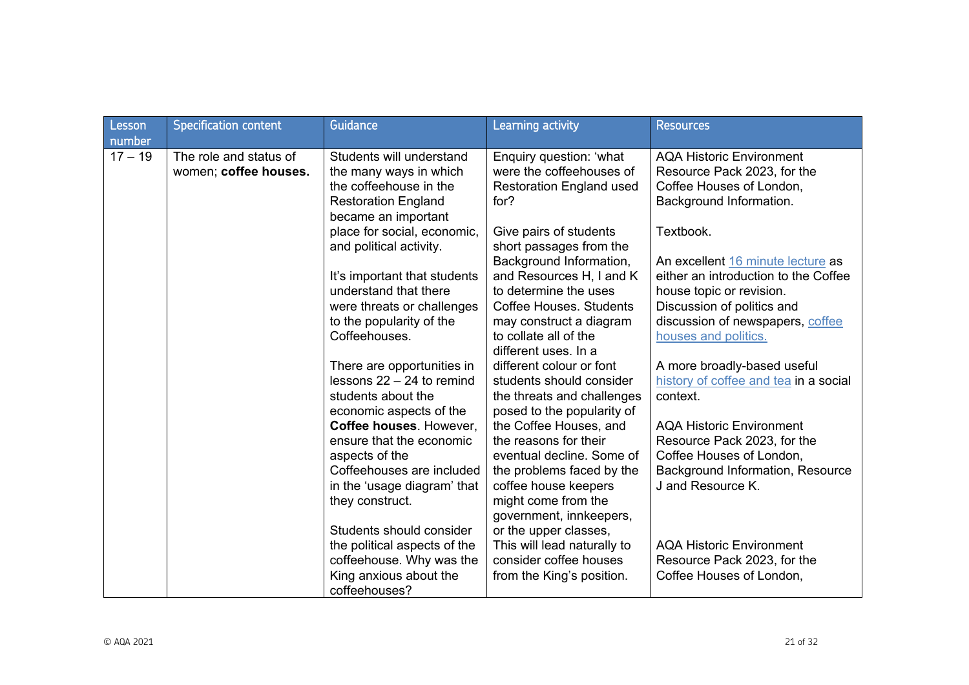| Lesson<br>number | <b>Specification content</b>                    | Guidance                                                                                                                          | <b>Learning activity</b>                                                                                         | <b>Resources</b>                                                                                                               |
|------------------|-------------------------------------------------|-----------------------------------------------------------------------------------------------------------------------------------|------------------------------------------------------------------------------------------------------------------|--------------------------------------------------------------------------------------------------------------------------------|
| $17 - 19$        | The role and status of<br>women; coffee houses. | Students will understand<br>the many ways in which<br>the coffeehouse in the<br><b>Restoration England</b><br>became an important | Enquiry question: 'what<br>were the coffeehouses of<br><b>Restoration England used</b><br>for?                   | <b>AQA Historic Environment</b><br>Resource Pack 2023, for the<br>Coffee Houses of London,<br>Background Information.          |
|                  |                                                 | place for social, economic,<br>and political activity.                                                                            | Give pairs of students<br>short passages from the<br>Background Information,                                     | Textbook.<br>An excellent 16 minute lecture as                                                                                 |
|                  |                                                 | It's important that students<br>understand that there<br>were threats or challenges                                               | and Resources H, I and K<br>to determine the uses<br><b>Coffee Houses. Students</b>                              | either an introduction to the Coffee<br>house topic or revision.<br>Discussion of politics and                                 |
|                  |                                                 | to the popularity of the<br>Coffeehouses.                                                                                         | may construct a diagram<br>to collate all of the<br>different uses. In a                                         | discussion of newspapers, coffee<br>houses and politics.                                                                       |
|                  |                                                 | There are opportunities in<br>lessons $22 - 24$ to remind<br>students about the<br>economic aspects of the                        | different colour or font<br>students should consider<br>the threats and challenges<br>posed to the popularity of | A more broadly-based useful<br>history of coffee and tea in a social<br>context.                                               |
|                  |                                                 | Coffee houses. However,<br>ensure that the economic<br>aspects of the<br>Coffeehouses are included                                | the Coffee Houses, and<br>the reasons for their<br>eventual decline. Some of<br>the problems faced by the        | <b>AQA Historic Environment</b><br>Resource Pack 2023, for the<br>Coffee Houses of London,<br>Background Information, Resource |
|                  |                                                 | in the 'usage diagram' that<br>they construct.                                                                                    | coffee house keepers<br>might come from the<br>government, innkeepers,                                           | J and Resource K.                                                                                                              |
|                  |                                                 | Students should consider<br>the political aspects of the<br>coffeehouse. Why was the<br>King anxious about the<br>coffeehouses?   | or the upper classes,<br>This will lead naturally to<br>consider coffee houses<br>from the King's position.      | <b>AQA Historic Environment</b><br>Resource Pack 2023, for the<br>Coffee Houses of London,                                     |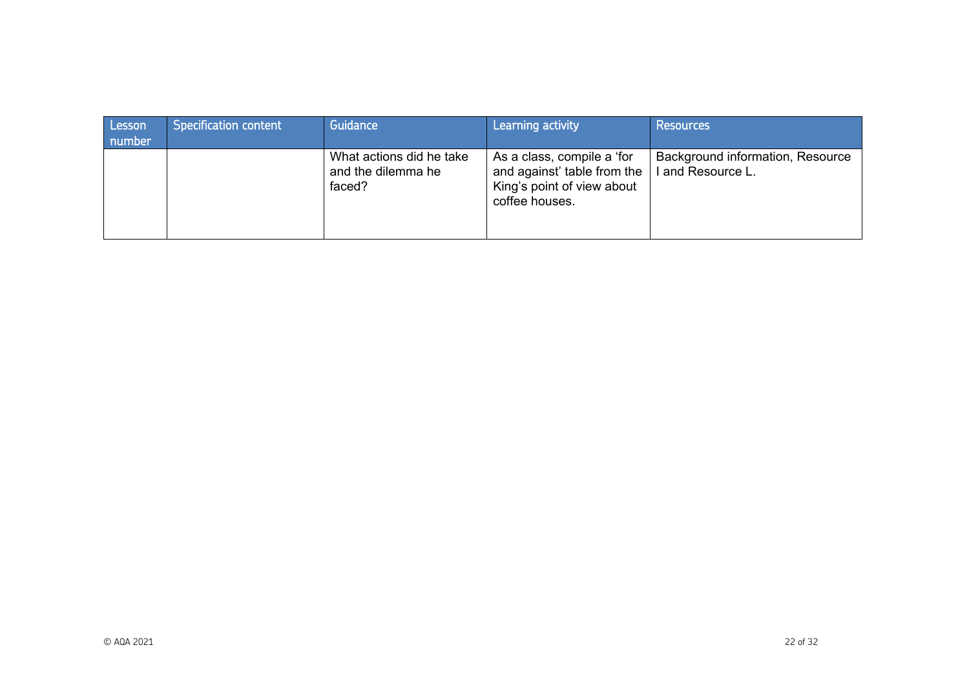| Lesson<br>number | Specification content | Guidance                                                 | Learning activity                                                                                         | <b>Resources</b>                                      |
|------------------|-----------------------|----------------------------------------------------------|-----------------------------------------------------------------------------------------------------------|-------------------------------------------------------|
|                  |                       | What actions did he take<br>and the dilemma he<br>faced? | As a class, compile a 'for<br>and against' table from the<br>King's point of view about<br>coffee houses. | Background information, Resource<br>I and Resource L. |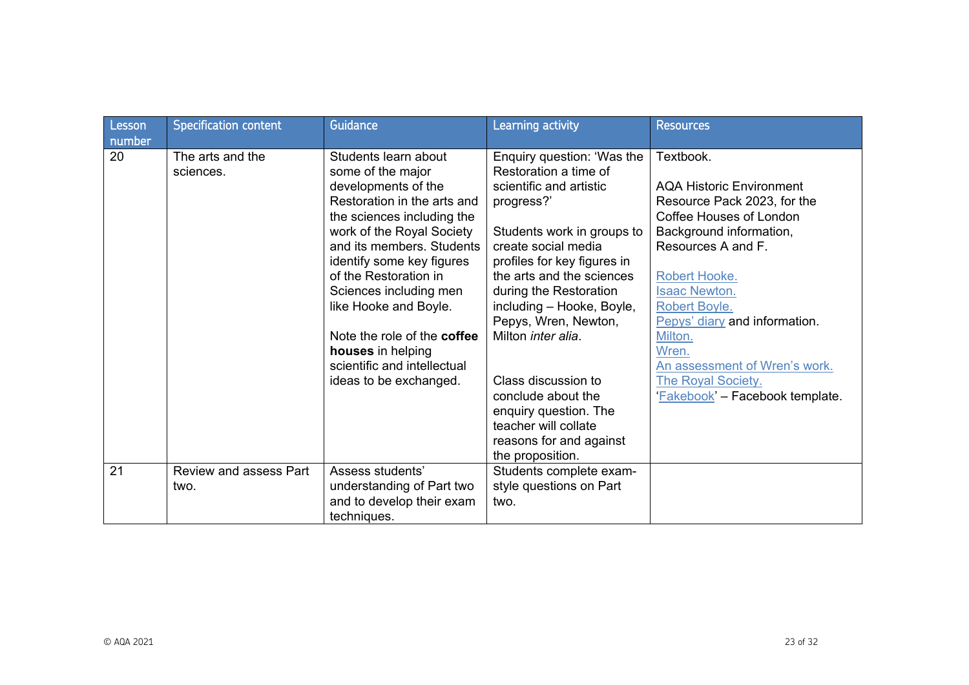| Lesson | <b>Specification content</b>  | Guidance                           | Learning activity           | <b>Resources</b>                |
|--------|-------------------------------|------------------------------------|-----------------------------|---------------------------------|
| number |                               |                                    |                             |                                 |
| 20     | The arts and the              | Students learn about               | Enquiry question: 'Was the  | Textbook.                       |
|        | sciences.                     | some of the major                  | Restoration a time of       |                                 |
|        |                               | developments of the                | scientific and artistic     | <b>AQA Historic Environment</b> |
|        |                               | Restoration in the arts and        | progress?'                  | Resource Pack 2023, for the     |
|        |                               | the sciences including the         |                             | Coffee Houses of London         |
|        |                               | work of the Royal Society          | Students work in groups to  | Background information,         |
|        |                               | and its members. Students          | create social media         | Resources A and F.              |
|        |                               | identify some key figures          | profiles for key figures in |                                 |
|        |                               | of the Restoration in              | the arts and the sciences   | Robert Hooke.                   |
|        |                               | Sciences including men             | during the Restoration      | <b>Isaac Newton.</b>            |
|        |                               | like Hooke and Boyle.              | including - Hooke, Boyle,   | Robert Boyle.                   |
|        |                               |                                    | Pepys, Wren, Newton,        | Pepys' diary and information.   |
|        |                               | Note the role of the <b>coffee</b> | Milton <i>inter alia</i> .  | Milton.                         |
|        |                               | houses in helping                  |                             | Wren.                           |
|        |                               | scientific and intellectual        |                             | An assessment of Wren's work.   |
|        |                               | ideas to be exchanged.             | Class discussion to         | <b>The Royal Society.</b>       |
|        |                               |                                    | conclude about the          | 'Fakebook' - Facebook template. |
|        |                               |                                    | enquiry question. The       |                                 |
|        |                               |                                    | teacher will collate        |                                 |
|        |                               |                                    | reasons for and against     |                                 |
|        |                               |                                    | the proposition.            |                                 |
| 21     | <b>Review and assess Part</b> | Assess students'                   | Students complete exam-     |                                 |
|        | two.                          | understanding of Part two          | style questions on Part     |                                 |
|        |                               | and to develop their exam          | two.                        |                                 |
|        |                               | techniques.                        |                             |                                 |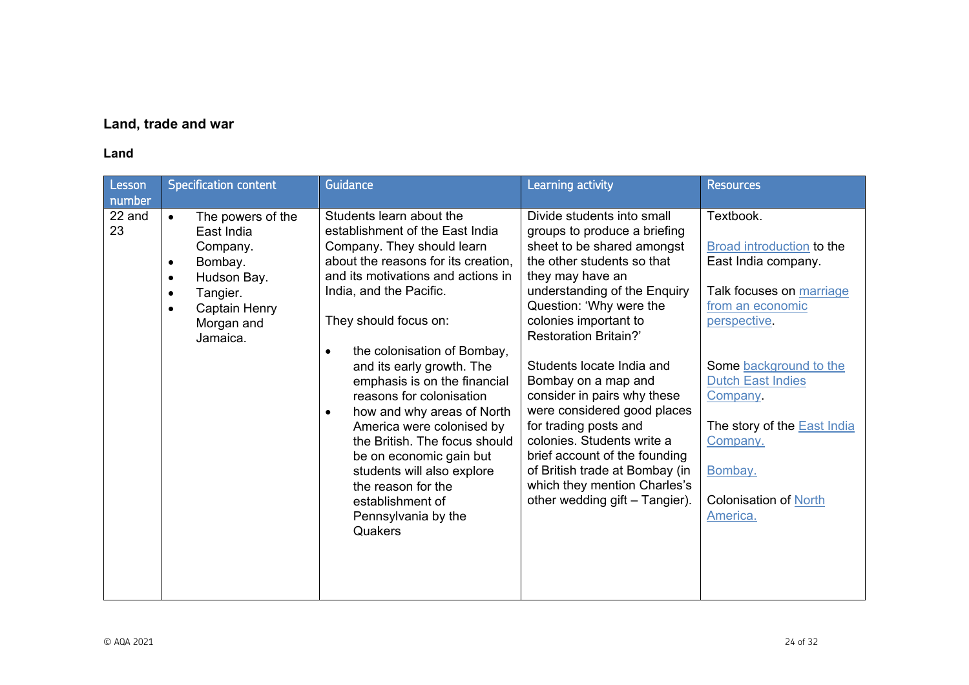# **Land, trade and war**

## **Land**

| <b>Specification content</b><br>Lesson<br>number                                                                                                                                                              | <b>Guidance</b>                                                                                                                                                                                                                                                                                                                                                                                                                                                                                                                                                                                               | Learning activity                                                                                                                                                                                                                                                                                                                                                                                                                                                                                                                                                            | <b>Resources</b>                                                                                                                                                                                                                                                                                         |
|---------------------------------------------------------------------------------------------------------------------------------------------------------------------------------------------------------------|---------------------------------------------------------------------------------------------------------------------------------------------------------------------------------------------------------------------------------------------------------------------------------------------------------------------------------------------------------------------------------------------------------------------------------------------------------------------------------------------------------------------------------------------------------------------------------------------------------------|------------------------------------------------------------------------------------------------------------------------------------------------------------------------------------------------------------------------------------------------------------------------------------------------------------------------------------------------------------------------------------------------------------------------------------------------------------------------------------------------------------------------------------------------------------------------------|----------------------------------------------------------------------------------------------------------------------------------------------------------------------------------------------------------------------------------------------------------------------------------------------------------|
| 22 and<br>The powers of the<br>$\bullet$<br>23<br>East India<br>Company.<br>Bombay.<br>$\bullet$<br>Hudson Bay.<br>$\bullet$<br>Tangier.<br>$\bullet$<br>Captain Henry<br>$\bullet$<br>Morgan and<br>Jamaica. | Students learn about the<br>establishment of the East India<br>Company. They should learn<br>about the reasons for its creation,<br>and its motivations and actions in<br>India, and the Pacific.<br>They should focus on:<br>the colonisation of Bombay,<br>$\bullet$<br>and its early growth. The<br>emphasis is on the financial<br>reasons for colonisation<br>how and why areas of North<br>$\bullet$<br>America were colonised by<br>the British. The focus should<br>be on economic gain but<br>students will also explore<br>the reason for the<br>establishment of<br>Pennsylvania by the<br>Quakers | Divide students into small<br>groups to produce a briefing<br>sheet to be shared amongst<br>the other students so that<br>they may have an<br>understanding of the Enquiry<br>Question: 'Why were the<br>colonies important to<br><b>Restoration Britain?'</b><br>Students locate India and<br>Bombay on a map and<br>consider in pairs why these<br>were considered good places<br>for trading posts and<br>colonies. Students write a<br>brief account of the founding<br>of British trade at Bombay (in<br>which they mention Charles's<br>other wedding gift - Tangier). | Textbook.<br><b>Broad introduction to the</b><br>East India company.<br>Talk focuses on marriage<br>from an economic<br>perspective.<br>Some background to the<br><b>Dutch East Indies</b><br>Company.<br>The story of the <b>East India</b><br>Company.<br>Bombay.<br>Colonisation of North<br>America. |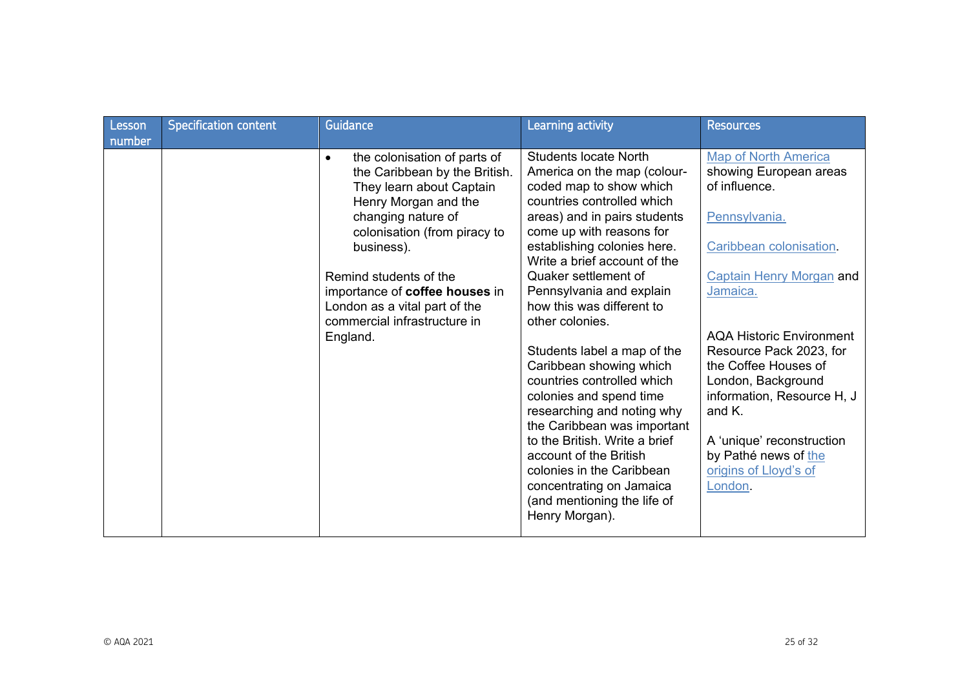| Lesson<br>number | <b>Specification content</b> | Guidance                                                                                                                                                                                                                                                                                                                                    | Learning activity                                                                                                                                                                                                                                                                                                                                                                                                                                                                                                                                                                                                                                                                                        | <b>Resources</b>                                                                                                                                                                                                                                                                                                                                                                                              |
|------------------|------------------------------|---------------------------------------------------------------------------------------------------------------------------------------------------------------------------------------------------------------------------------------------------------------------------------------------------------------------------------------------|----------------------------------------------------------------------------------------------------------------------------------------------------------------------------------------------------------------------------------------------------------------------------------------------------------------------------------------------------------------------------------------------------------------------------------------------------------------------------------------------------------------------------------------------------------------------------------------------------------------------------------------------------------------------------------------------------------|---------------------------------------------------------------------------------------------------------------------------------------------------------------------------------------------------------------------------------------------------------------------------------------------------------------------------------------------------------------------------------------------------------------|
|                  |                              | the colonisation of parts of<br>$\bullet$<br>the Caribbean by the British.<br>They learn about Captain<br>Henry Morgan and the<br>changing nature of<br>colonisation (from piracy to<br>business).<br>Remind students of the<br>importance of coffee houses in<br>London as a vital part of the<br>commercial infrastructure in<br>England. | <b>Students locate North</b><br>America on the map (colour-<br>coded map to show which<br>countries controlled which<br>areas) and in pairs students<br>come up with reasons for<br>establishing colonies here.<br>Write a brief account of the<br>Quaker settlement of<br>Pennsylvania and explain<br>how this was different to<br>other colonies.<br>Students label a map of the<br>Caribbean showing which<br>countries controlled which<br>colonies and spend time<br>researching and noting why<br>the Caribbean was important<br>to the British. Write a brief<br>account of the British<br>colonies in the Caribbean<br>concentrating on Jamaica<br>(and mentioning the life of<br>Henry Morgan). | <b>Map of North America</b><br>showing European areas<br>of influence.<br>Pennsylvania.<br>Caribbean colonisation<br><b>Captain Henry Morgan and</b><br>Jamaica.<br><b>AQA Historic Environment</b><br>Resource Pack 2023, for<br>the Coffee Houses of<br>London, Background<br>information, Resource H, J<br>and K.<br>A 'unique' reconstruction<br>by Pathé news of the<br>origins of Lloyd's of<br>London. |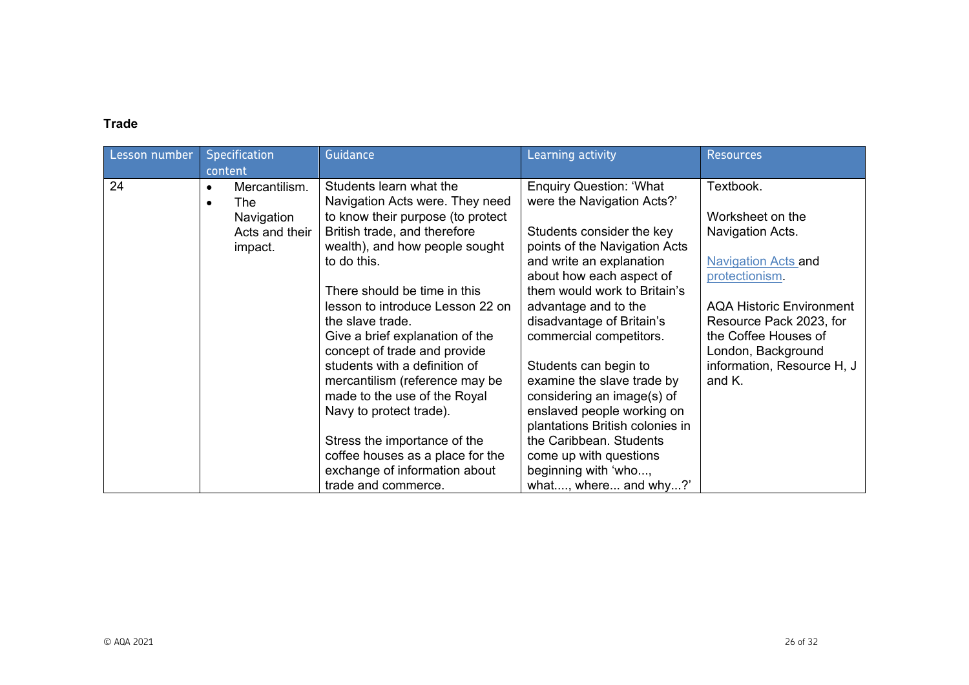## **Trade**

| Lesson number |                        | <b>Specification</b><br>content | Guidance                                                   | Learning activity                                            | <b>Resources</b>                |
|---------------|------------------------|---------------------------------|------------------------------------------------------------|--------------------------------------------------------------|---------------------------------|
| 24            | $\bullet$<br>$\bullet$ | Mercantilism.<br>The            | Students learn what the<br>Navigation Acts were. They need | <b>Enquiry Question: 'What</b><br>were the Navigation Acts?' | Textbook.                       |
|               |                        | Navigation                      | to know their purpose (to protect                          |                                                              | Worksheet on the                |
|               |                        | Acts and their                  | British trade, and therefore                               | Students consider the key                                    | Navigation Acts.                |
|               |                        | impact.                         | wealth), and how people sought                             | points of the Navigation Acts                                |                                 |
|               |                        |                                 | to do this.                                                | and write an explanation                                     | <b>Navigation Acts and</b>      |
|               |                        |                                 |                                                            | about how each aspect of                                     | protectionism.                  |
|               |                        |                                 | There should be time in this                               | them would work to Britain's                                 |                                 |
|               |                        |                                 | lesson to introduce Lesson 22 on                           | advantage and to the                                         | <b>AQA Historic Environment</b> |
|               |                        |                                 | the slave trade.                                           | disadvantage of Britain's                                    | Resource Pack 2023, for         |
|               |                        |                                 | Give a brief explanation of the                            | commercial competitors.                                      | the Coffee Houses of            |
|               |                        |                                 | concept of trade and provide                               |                                                              | London, Background              |
|               |                        |                                 | students with a definition of                              | Students can begin to                                        | information, Resource H, J      |
|               |                        |                                 | mercantilism (reference may be                             | examine the slave trade by                                   | and K.                          |
|               |                        |                                 | made to the use of the Royal                               | considering an image(s) of                                   |                                 |
|               |                        |                                 | Navy to protect trade).                                    | enslaved people working on                                   |                                 |
|               |                        |                                 |                                                            | plantations British colonies in                              |                                 |
|               |                        |                                 | Stress the importance of the                               | the Caribbean. Students                                      |                                 |
|               |                        |                                 | coffee houses as a place for the                           | come up with questions                                       |                                 |
|               |                        |                                 | exchange of information about                              | beginning with 'who,                                         |                                 |
|               |                        |                                 | trade and commerce.                                        | what, where and why?'                                        |                                 |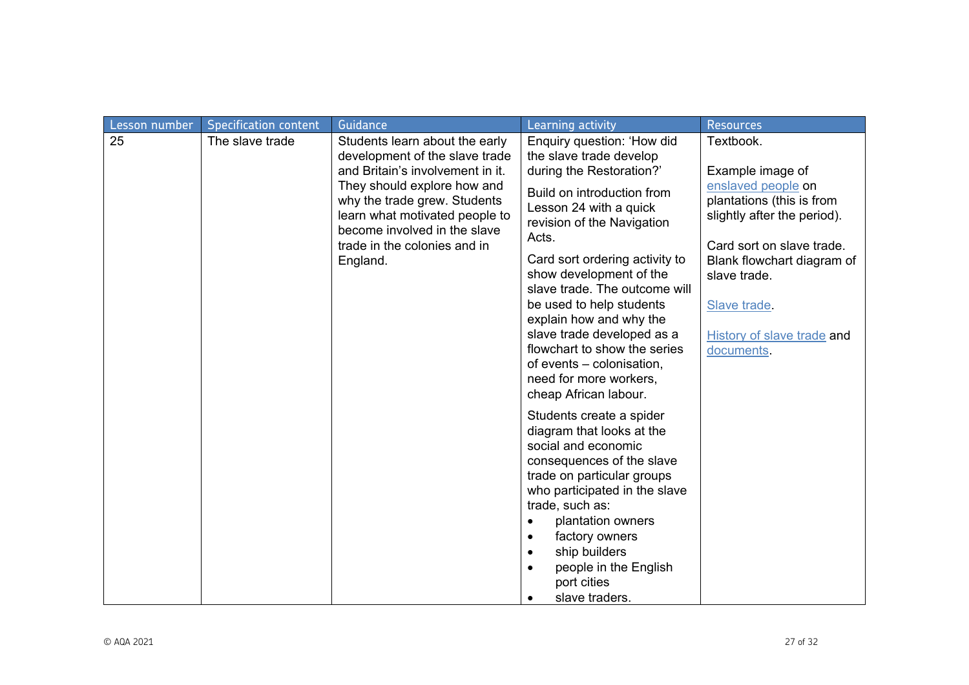| Lesson number | <b>Specification content</b> | Guidance                                                                                                                                                                  | Learning activity                                                                                                                                                                                                                                                                                                                                                                              | <b>Resources</b>                                                                                                                                                                                                             |
|---------------|------------------------------|---------------------------------------------------------------------------------------------------------------------------------------------------------------------------|------------------------------------------------------------------------------------------------------------------------------------------------------------------------------------------------------------------------------------------------------------------------------------------------------------------------------------------------------------------------------------------------|------------------------------------------------------------------------------------------------------------------------------------------------------------------------------------------------------------------------------|
| 25            | The slave trade              | Students learn about the early<br>development of the slave trade<br>and Britain's involvement in it.                                                                      | Enquiry question: 'How did<br>the slave trade develop<br>during the Restoration?'                                                                                                                                                                                                                                                                                                              | Textbook.<br>Example image of                                                                                                                                                                                                |
|               |                              | They should explore how and<br>why the trade grew. Students<br>learn what motivated people to<br>become involved in the slave<br>trade in the colonies and in<br>England. | Build on introduction from<br>Lesson 24 with a quick<br>revision of the Navigation<br>Acts.<br>Card sort ordering activity to<br>show development of the<br>slave trade. The outcome will<br>be used to help students<br>explain how and why the<br>slave trade developed as a<br>flowchart to show the series<br>of events – colonisation,<br>need for more workers,<br>cheap African labour. | enslaved people on<br>plantations (this is from<br>slightly after the period).<br>Card sort on slave trade.<br>Blank flowchart diagram of<br>slave trade.<br>Slave trade.<br><b>History of slave trade and</b><br>documents. |
|               |                              |                                                                                                                                                                           | Students create a spider<br>diagram that looks at the<br>social and economic<br>consequences of the slave<br>trade on particular groups<br>who participated in the slave<br>trade, such as:<br>plantation owners<br>$\bullet$<br>factory owners<br>$\bullet$<br>ship builders<br>$\bullet$<br>people in the English<br>port cities<br>slave traders.                                           |                                                                                                                                                                                                                              |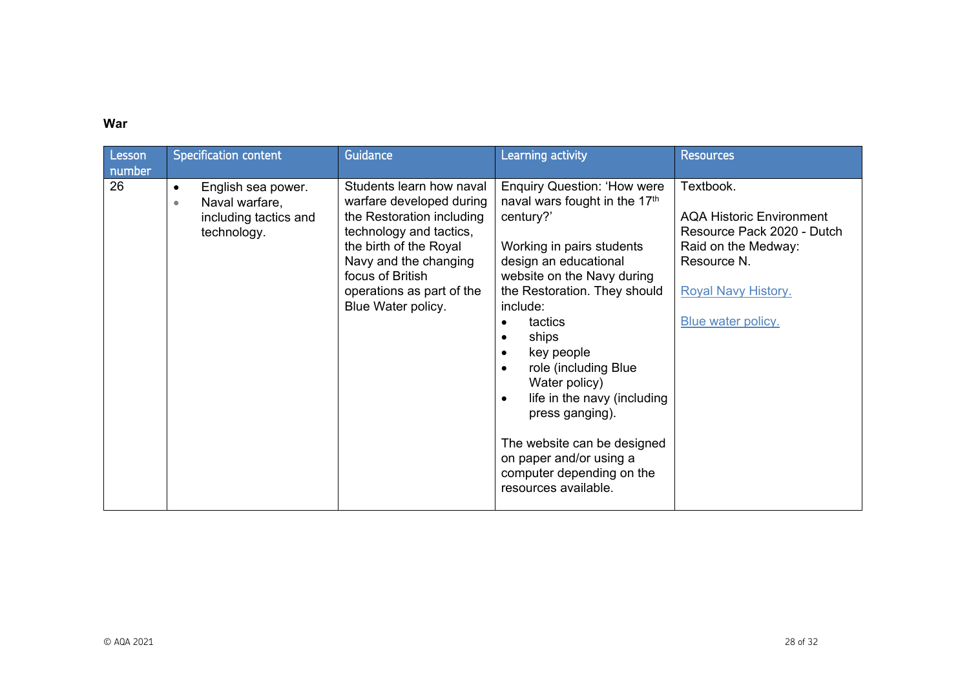## **War**

| Lesson<br>number | <b>Specification content</b>                                                                           | Guidance                                                                                                                                                                                                                               | <b>Learning activity</b>                                                                                                                                                                                                                                                                                                                                                                                                                                                                                                      | <b>Resources</b>                                                                                                                                                     |
|------------------|--------------------------------------------------------------------------------------------------------|----------------------------------------------------------------------------------------------------------------------------------------------------------------------------------------------------------------------------------------|-------------------------------------------------------------------------------------------------------------------------------------------------------------------------------------------------------------------------------------------------------------------------------------------------------------------------------------------------------------------------------------------------------------------------------------------------------------------------------------------------------------------------------|----------------------------------------------------------------------------------------------------------------------------------------------------------------------|
| 26               | English sea power.<br>$\bullet$<br>Naval warfare,<br>$\bullet$<br>including tactics and<br>technology. | Students learn how naval<br>warfare developed during<br>the Restoration including<br>technology and tactics,<br>the birth of the Royal<br>Navy and the changing<br>focus of British<br>operations as part of the<br>Blue Water policy. | <b>Enquiry Question: 'How were</b><br>naval wars fought in the 17th<br>century?'<br>Working in pairs students<br>design an educational<br>website on the Navy during<br>the Restoration. They should<br>include:<br>tactics<br>$\bullet$<br>ships<br>$\bullet$<br>key people<br>$\bullet$<br>role (including Blue<br>$\bullet$<br>Water policy)<br>life in the navy (including<br>$\bullet$<br>press ganging).<br>The website can be designed<br>on paper and/or using a<br>computer depending on the<br>resources available. | Textbook.<br><b>AQA Historic Environment</b><br>Resource Pack 2020 - Dutch<br>Raid on the Medway:<br>Resource N.<br><b>Royal Navy History.</b><br>Blue water policy. |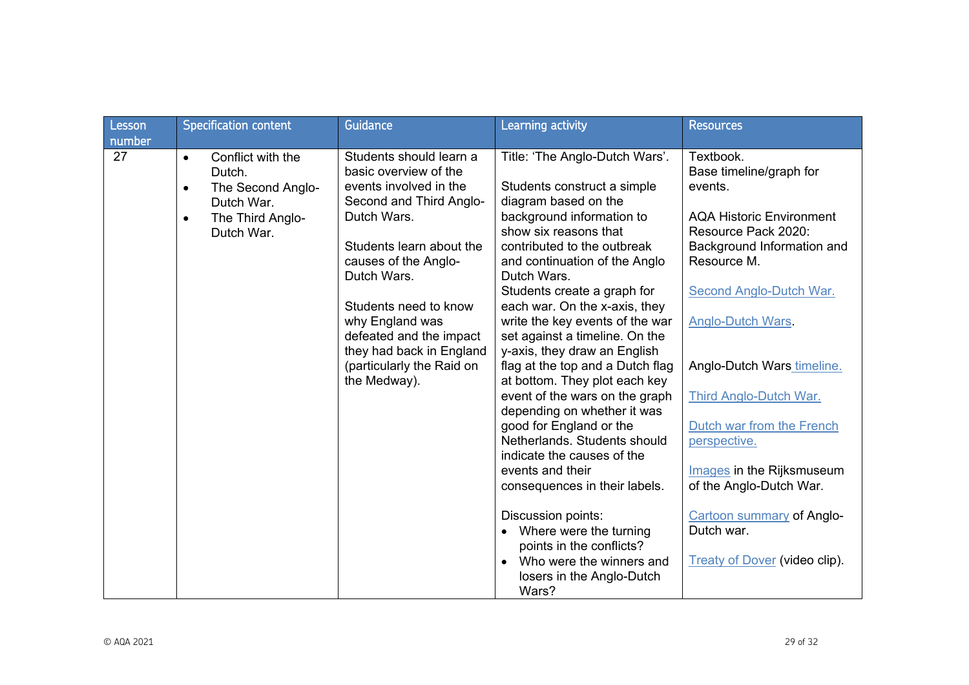| Lesson<br>number | <b>Specification content</b>                                               | Guidance                                                                         | Learning activity                                                                                         | <b>Resources</b>                                                                     |
|------------------|----------------------------------------------------------------------------|----------------------------------------------------------------------------------|-----------------------------------------------------------------------------------------------------------|--------------------------------------------------------------------------------------|
| 27               | Conflict with the<br>$\bullet$<br>Dutch.<br>The Second Anglo-<br>$\bullet$ | Students should learn a<br>basic overview of the<br>events involved in the       | Title: 'The Anglo-Dutch Wars'.<br>Students construct a simple                                             | Textbook.<br>Base timeline/graph for<br>events.                                      |
|                  | Dutch War.<br>The Third Anglo-<br>$\bullet$<br>Dutch War.                  | Second and Third Anglo-<br>Dutch Wars.<br>Students learn about the               | diagram based on the<br>background information to<br>show six reasons that<br>contributed to the outbreak | <b>AQA Historic Environment</b><br>Resource Pack 2020:<br>Background Information and |
|                  |                                                                            | causes of the Anglo-<br>Dutch Wars.                                              | and continuation of the Anglo<br>Dutch Wars.                                                              | Resource M.                                                                          |
|                  |                                                                            | Students need to know<br>why England was                                         | Students create a graph for<br>each war. On the x-axis, they<br>write the key events of the war           | <b>Second Anglo-Dutch War.</b><br>Anglo-Dutch Wars.                                  |
|                  |                                                                            | defeated and the impact<br>they had back in England<br>(particularly the Raid on | set against a timeline. On the<br>y-axis, they draw an English<br>flag at the top and a Dutch flag        | Anglo-Dutch Wars timeline.                                                           |
|                  |                                                                            | the Medway).                                                                     | at bottom. They plot each key<br>event of the wars on the graph<br>depending on whether it was            | Third Anglo-Dutch War.                                                               |
|                  |                                                                            |                                                                                  | good for England or the<br>Netherlands, Students should<br>indicate the causes of the                     | Dutch war from the French<br>perspective.                                            |
|                  |                                                                            |                                                                                  | events and their<br>consequences in their labels.                                                         | <b>Images</b> in the Rijksmuseum<br>of the Anglo-Dutch War.                          |
|                  |                                                                            |                                                                                  | Discussion points:<br>Where were the turning<br>$\bullet$<br>points in the conflicts?                     | <b>Cartoon summary of Anglo-</b><br>Dutch war.                                       |
|                  |                                                                            |                                                                                  | Who were the winners and<br>$\bullet$<br>losers in the Anglo-Dutch<br>Wars?                               | <b>Treaty of Dover (video clip).</b>                                                 |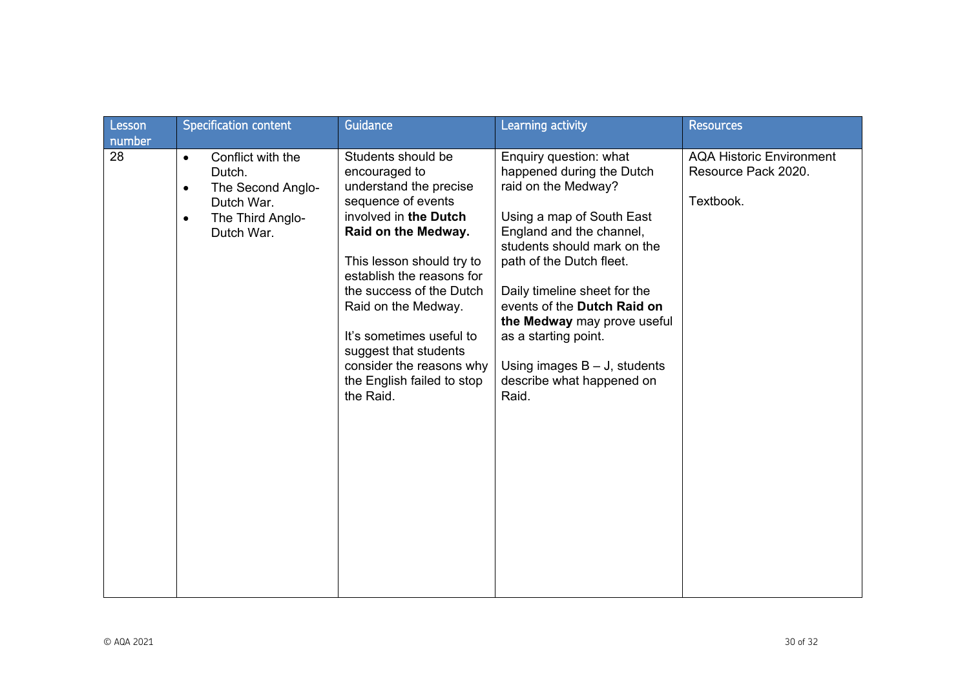| Lesson       | Specification content                                                                                                                   | <b>Guidance</b>                                                                                                                                                                                                                                                                                                                                                              | Learning activity                                                                                                                                                                                                                                                                                                                                                                             | <b>Resources</b>                                                    |
|--------------|-----------------------------------------------------------------------------------------------------------------------------------------|------------------------------------------------------------------------------------------------------------------------------------------------------------------------------------------------------------------------------------------------------------------------------------------------------------------------------------------------------------------------------|-----------------------------------------------------------------------------------------------------------------------------------------------------------------------------------------------------------------------------------------------------------------------------------------------------------------------------------------------------------------------------------------------|---------------------------------------------------------------------|
| number<br>28 | Conflict with the<br>$\bullet$<br>Dutch.<br>The Second Anglo-<br>$\bullet$<br>Dutch War.<br>The Third Anglo-<br>$\bullet$<br>Dutch War. | Students should be<br>encouraged to<br>understand the precise<br>sequence of events<br>involved in the Dutch<br>Raid on the Medway.<br>This lesson should try to<br>establish the reasons for<br>the success of the Dutch<br>Raid on the Medway.<br>It's sometimes useful to<br>suggest that students<br>consider the reasons why<br>the English failed to stop<br>the Raid. | Enquiry question: what<br>happened during the Dutch<br>raid on the Medway?<br>Using a map of South East<br>England and the channel,<br>students should mark on the<br>path of the Dutch fleet.<br>Daily timeline sheet for the<br>events of the Dutch Raid on<br>the Medway may prove useful<br>as a starting point.<br>Using images $B - J$ , students<br>describe what happened on<br>Raid. | <b>AQA Historic Environment</b><br>Resource Pack 2020.<br>Textbook. |
|              |                                                                                                                                         |                                                                                                                                                                                                                                                                                                                                                                              |                                                                                                                                                                                                                                                                                                                                                                                               |                                                                     |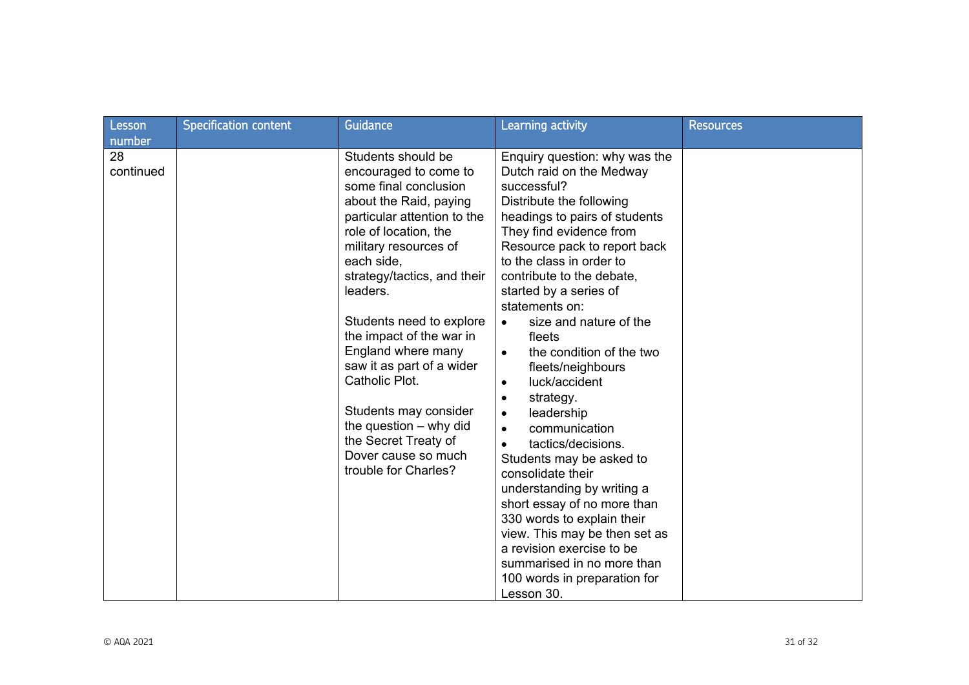| Lesson                    | <b>Specification content</b> | Guidance                                                                                                                                                                                                                                                                                                                                                                                                                                                                                          | Learning activity                                                                                                                                                                                                                                                                                                                                                                                                                                                                                                                                                                                                                                                                                                    | <b>Resources</b> |
|---------------------------|------------------------------|---------------------------------------------------------------------------------------------------------------------------------------------------------------------------------------------------------------------------------------------------------------------------------------------------------------------------------------------------------------------------------------------------------------------------------------------------------------------------------------------------|----------------------------------------------------------------------------------------------------------------------------------------------------------------------------------------------------------------------------------------------------------------------------------------------------------------------------------------------------------------------------------------------------------------------------------------------------------------------------------------------------------------------------------------------------------------------------------------------------------------------------------------------------------------------------------------------------------------------|------------------|
| number<br>28<br>continued |                              | Students should be<br>encouraged to come to<br>some final conclusion<br>about the Raid, paying<br>particular attention to the<br>role of location, the<br>military resources of<br>each side,<br>strategy/tactics, and their<br>leaders.<br>Students need to explore<br>the impact of the war in<br>England where many<br>saw it as part of a wider<br>Catholic Plot.<br>Students may consider<br>the question $-$ why did<br>the Secret Treaty of<br>Dover cause so much<br>trouble for Charles? | Enquiry question: why was the<br>Dutch raid on the Medway<br>successful?<br>Distribute the following<br>headings to pairs of students<br>They find evidence from<br>Resource pack to report back<br>to the class in order to<br>contribute to the debate,<br>started by a series of<br>statements on:<br>size and nature of the<br>$\bullet$<br>fleets<br>the condition of the two<br>$\bullet$<br>fleets/neighbours<br>luck/accident<br>$\bullet$<br>strategy.<br>$\bullet$<br>leadership<br>$\bullet$<br>communication<br>$\bullet$<br>tactics/decisions.<br>$\bullet$<br>Students may be asked to<br>consolidate their<br>understanding by writing a<br>short essay of no more than<br>330 words to explain their |                  |
|                           |                              |                                                                                                                                                                                                                                                                                                                                                                                                                                                                                                   | view. This may be then set as<br>a revision exercise to be<br>summarised in no more than<br>100 words in preparation for<br>Lesson 30.                                                                                                                                                                                                                                                                                                                                                                                                                                                                                                                                                                               |                  |